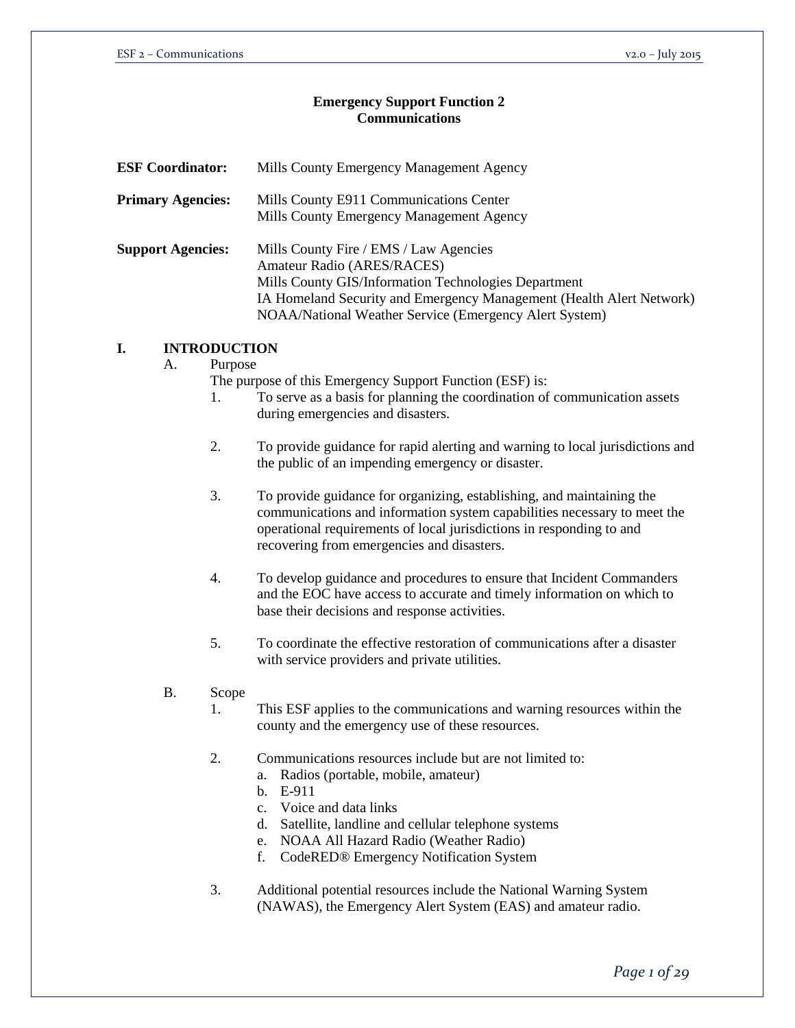# **Emergency Support Function 2 Communications**

| <b>ESF Coordinator:</b>  |    |                                 | Mills County Emergency Management Agency                                                                                                                                                                                                                                                                         |  |  |
|--------------------------|----|---------------------------------|------------------------------------------------------------------------------------------------------------------------------------------------------------------------------------------------------------------------------------------------------------------------------------------------------------------|--|--|
| <b>Primary Agencies:</b> |    |                                 | Mills County E911 Communications Center<br>Mills County Emergency Management Agency                                                                                                                                                                                                                              |  |  |
| <b>Support Agencies:</b> |    |                                 | Mills County Fire / EMS / Law Agencies<br>Amateur Radio (ARES/RACES)<br>Mills County GIS/Information Technologies Department<br>IA Homeland Security and Emergency Management (Health Alert Network)<br>NOAA/National Weather Service (Emergency Alert System)                                                   |  |  |
| I.                       |    | <b>INTRODUCTION</b>             |                                                                                                                                                                                                                                                                                                                  |  |  |
|                          | A. | Purpose<br>$\mathbf{1}$ .<br>2. | The purpose of this Emergency Support Function (ESF) is:<br>To serve as a basis for planning the coordination of communication assets<br>during emergencies and disasters.<br>To provide guidance for rapid alerting and warning to local jurisdictions and<br>the public of an impending emergency or disaster. |  |  |
|                          |    | 3.                              | To provide guidance for organizing, establishing, and maintaining the<br>communications and information system capabilities necessary to meet the<br>operational requirements of local jurisdictions in responding to and<br>recovering from emergencies and disasters.                                          |  |  |
|                          |    | 4.                              | To develop guidance and procedures to ensure that Incident Commanders<br>and the EOC have access to accurate and timely information on which to<br>base their decisions and response activities.                                                                                                                 |  |  |
|                          |    | 5.                              | To coordinate the effective restoration of communications after a disaster<br>with service providers and private utilities.                                                                                                                                                                                      |  |  |
|                          |    | $\sim$                          |                                                                                                                                                                                                                                                                                                                  |  |  |

- B. Scope
	- 1. This ESF applies to the communications and warning resources within the county and the emergency use of these resources.
	- 2. Communications resources include but are not limited to:
		- a. Radios (portable, mobile, amateur)
		- b. E-911
		- c. Voice and data links
		- d. Satellite, landline and cellular telephone systems
		- e. NOAA All Hazard Radio (Weather Radio)
		- f. CodeRED® Emergency Notification System
	- 3. Additional potential resources include the National Warning System (NAWAS), the Emergency Alert System (EAS) and amateur radio.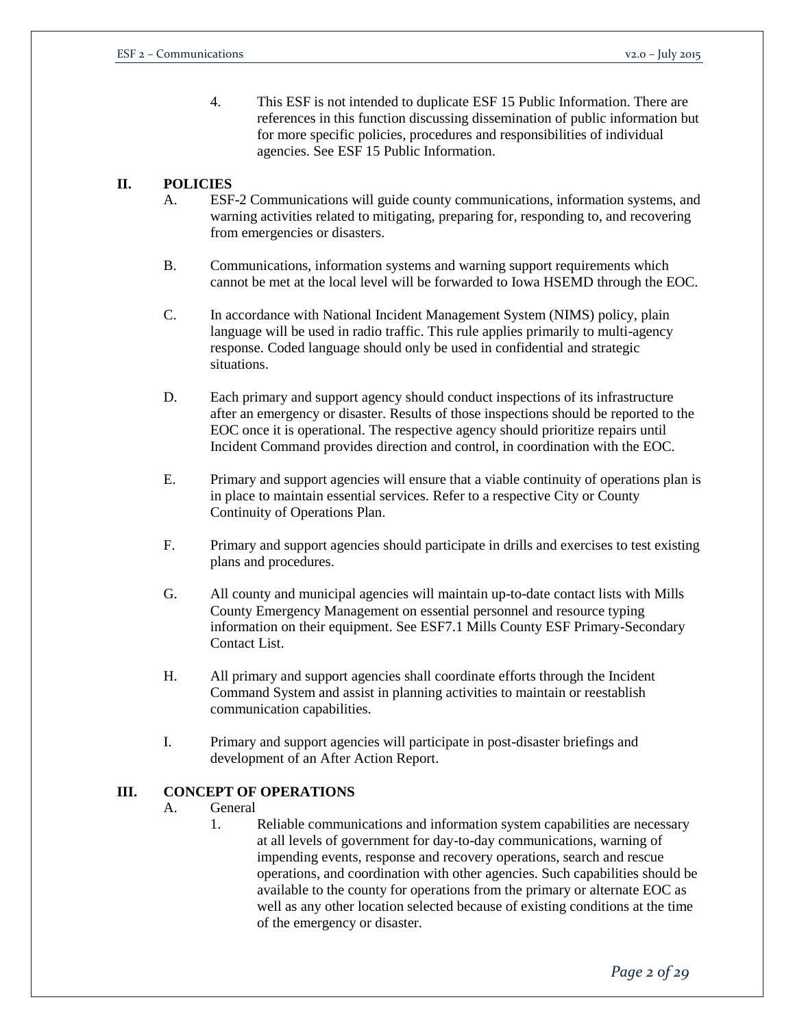4. This ESF is not intended to duplicate ESF 15 Public Information. There are references in this function discussing dissemination of public information but for more specific policies, procedures and responsibilities of individual agencies. See ESF 15 Public Information.

# **II. POLICIES**

- A. ESF-2 Communications will guide county communications, information systems, and warning activities related to mitigating, preparing for, responding to, and recovering from emergencies or disasters.
- B. Communications, information systems and warning support requirements which cannot be met at the local level will be forwarded to Iowa HSEMD through the EOC.
- C. In accordance with National Incident Management System (NIMS) policy, plain language will be used in radio traffic. This rule applies primarily to multi-agency response. Coded language should only be used in confidential and strategic situations.
- D. Each primary and support agency should conduct inspections of its infrastructure after an emergency or disaster. Results of those inspections should be reported to the EOC once it is operational. The respective agency should prioritize repairs until Incident Command provides direction and control, in coordination with the EOC.
- E. Primary and support agencies will ensure that a viable continuity of operations plan is in place to maintain essential services. Refer to a respective City or County Continuity of Operations Plan.
- F. Primary and support agencies should participate in drills and exercises to test existing plans and procedures.
- G. All county and municipal agencies will maintain up-to-date contact lists with Mills County Emergency Management on essential personnel and resource typing information on their equipment. See ESF7.1 Mills County ESF Primary-Secondary Contact List.
- H. All primary and support agencies shall coordinate efforts through the Incident Command System and assist in planning activities to maintain or reestablish communication capabilities.
- I. Primary and support agencies will participate in post-disaster briefings and development of an After Action Report.

# **III. CONCEPT OF OPERATIONS**

- A. General
	- 1. Reliable communications and information system capabilities are necessary at all levels of government for day-to-day communications, warning of impending events, response and recovery operations, search and rescue operations, and coordination with other agencies. Such capabilities should be available to the county for operations from the primary or alternate EOC as well as any other location selected because of existing conditions at the time of the emergency or disaster.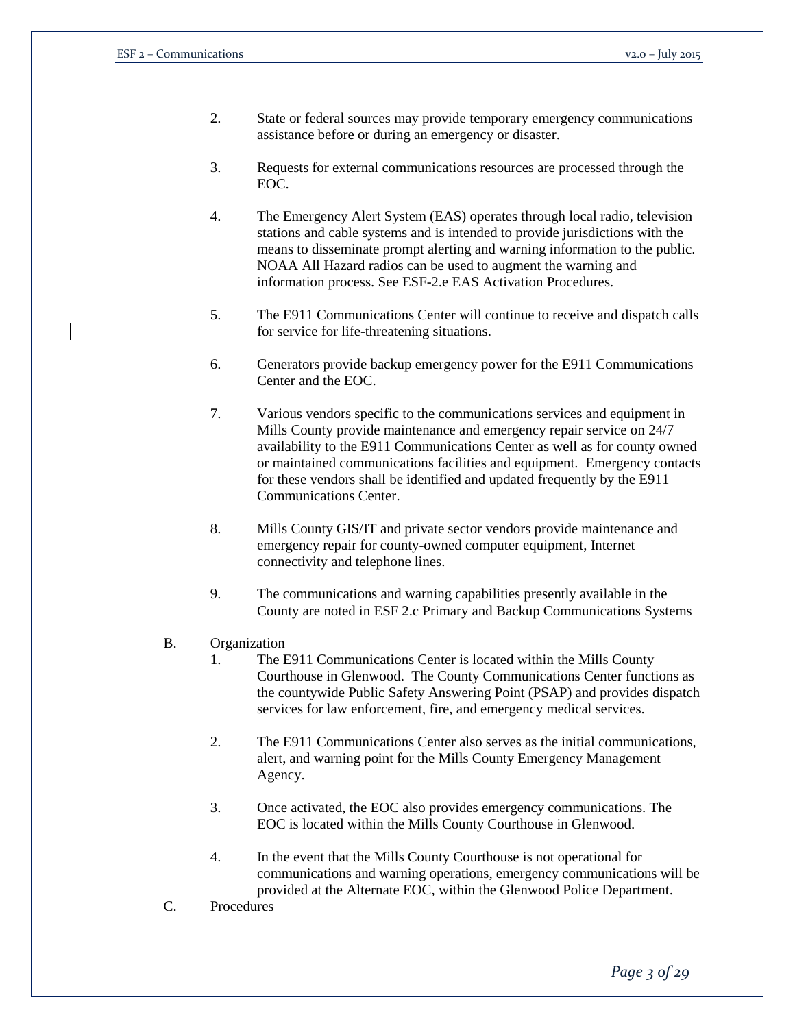- 2. State or federal sources may provide temporary emergency communications assistance before or during an emergency or disaster.
- 3. Requests for external communications resources are processed through the EOC.
- 4. The Emergency Alert System (EAS) operates through local radio, television stations and cable systems and is intended to provide jurisdictions with the means to disseminate prompt alerting and warning information to the public. NOAA All Hazard radios can be used to augment the warning and information process. See ESF-2.e EAS Activation Procedures.
- 5. The E911 Communications Center will continue to receive and dispatch calls for service for life-threatening situations.
- 6. Generators provide backup emergency power for the E911 Communications Center and the EOC.
- 7. Various vendors specific to the communications services and equipment in Mills County provide maintenance and emergency repair service on 24/7 availability to the E911 Communications Center as well as for county owned or maintained communications facilities and equipment. Emergency contacts for these vendors shall be identified and updated frequently by the E911 Communications Center.
- 8. Mills County GIS/IT and private sector vendors provide maintenance and emergency repair for county-owned computer equipment, Internet connectivity and telephone lines.
- 9. The communications and warning capabilities presently available in the County are noted in ESF 2.c Primary and Backup Communications Systems
- B. Organization
	- 1. The E911 Communications Center is located within the Mills County Courthouse in Glenwood. The County Communications Center functions as the countywide Public Safety Answering Point (PSAP) and provides dispatch services for law enforcement, fire, and emergency medical services.
	- 2. The E911 Communications Center also serves as the initial communications, alert, and warning point for the Mills County Emergency Management Agency.
	- 3. Once activated, the EOC also provides emergency communications. The EOC is located within the Mills County Courthouse in Glenwood.
	- 4. In the event that the Mills County Courthouse is not operational for communications and warning operations, emergency communications will be provided at the Alternate EOC, within the Glenwood Police Department.
- C. Procedures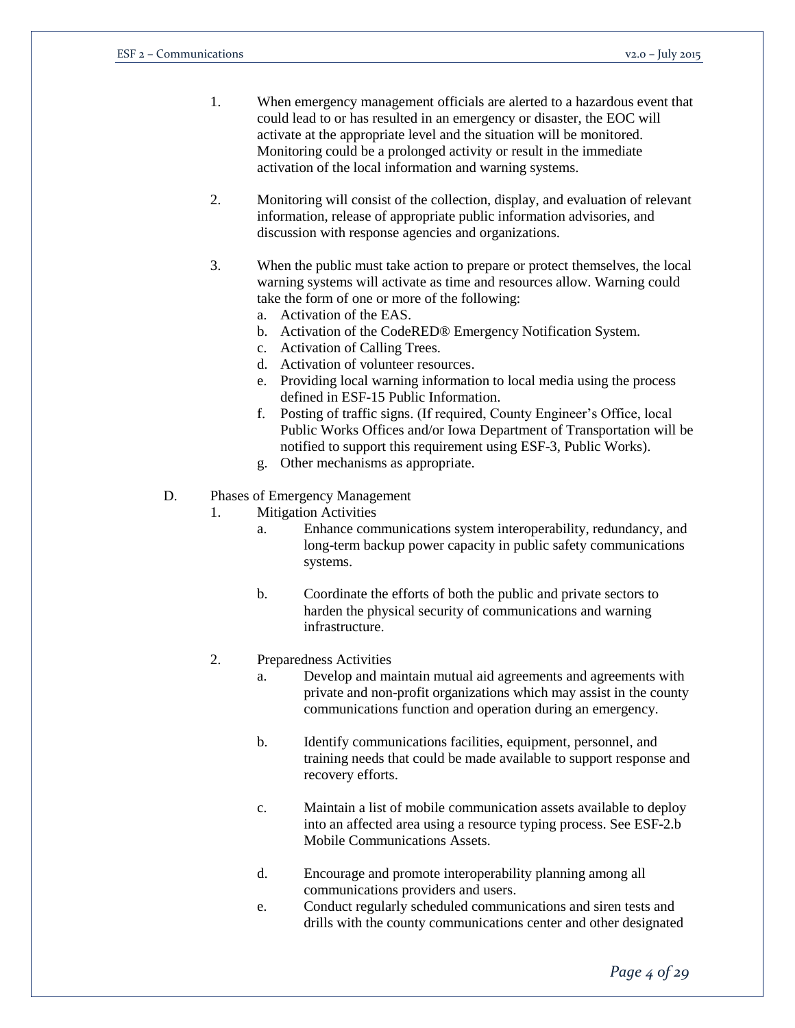- 1. When emergency management officials are alerted to a hazardous event that could lead to or has resulted in an emergency or disaster, the EOC will activate at the appropriate level and the situation will be monitored. Monitoring could be a prolonged activity or result in the immediate activation of the local information and warning systems.
- 2. Monitoring will consist of the collection, display, and evaluation of relevant information, release of appropriate public information advisories, and discussion with response agencies and organizations.
- 3. When the public must take action to prepare or protect themselves, the local warning systems will activate as time and resources allow. Warning could take the form of one or more of the following:
	- a. Activation of the EAS.
	- b. Activation of the CodeRED® Emergency Notification System.
	- c. Activation of Calling Trees.
	- d. Activation of volunteer resources.
	- e. Providing local warning information to local media using the process defined in ESF-15 Public Information.
	- f. Posting of traffic signs. (If required, County Engineer's Office, local Public Works Offices and/or Iowa Department of Transportation will be notified to support this requirement using ESF-3, Public Works).
	- g. Other mechanisms as appropriate.
- D. Phases of Emergency Management
	- 1. Mitigation Activities
		- a. Enhance communications system interoperability, redundancy, and long-term backup power capacity in public safety communications systems.
		- b. Coordinate the efforts of both the public and private sectors to harden the physical security of communications and warning infrastructure.
		- 2. Preparedness Activities
			- a. Develop and maintain mutual aid agreements and agreements with private and non-profit organizations which may assist in the county communications function and operation during an emergency.
			- b. Identify communications facilities, equipment, personnel, and training needs that could be made available to support response and recovery efforts.
			- c. Maintain a list of mobile communication assets available to deploy into an affected area using a resource typing process. See ESF-2.b Mobile Communications Assets.
			- d. Encourage and promote interoperability planning among all communications providers and users.
			- e. Conduct regularly scheduled communications and siren tests and drills with the county communications center and other designated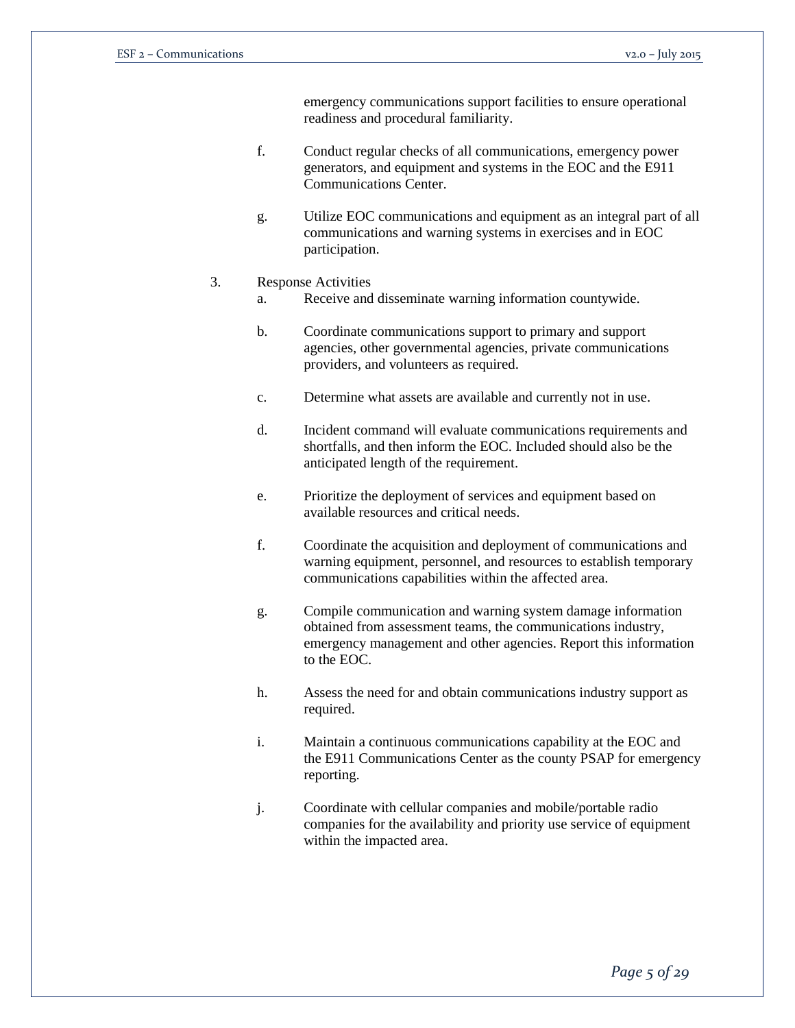emergency communications support facilities to ensure operational readiness and procedural familiarity.

- f. Conduct regular checks of all communications, emergency power generators, and equipment and systems in the EOC and the E911 Communications Center.
- g. Utilize EOC communications and equipment as an integral part of all communications and warning systems in exercises and in EOC participation.

#### 3. Response Activities

- a. Receive and disseminate warning information countywide.
- b. Coordinate communications support to primary and support agencies, other governmental agencies, private communications providers, and volunteers as required.
- c. Determine what assets are available and currently not in use.
- d. Incident command will evaluate communications requirements and shortfalls, and then inform the EOC. Included should also be the anticipated length of the requirement.
- e. Prioritize the deployment of services and equipment based on available resources and critical needs.
- f. Coordinate the acquisition and deployment of communications and warning equipment, personnel, and resources to establish temporary communications capabilities within the affected area.
- g. Compile communication and warning system damage information obtained from assessment teams, the communications industry, emergency management and other agencies. Report this information to the EOC.
- h. Assess the need for and obtain communications industry support as required.
- i. Maintain a continuous communications capability at the EOC and the E911 Communications Center as the county PSAP for emergency reporting.
- j. Coordinate with cellular companies and mobile/portable radio companies for the availability and priority use service of equipment within the impacted area.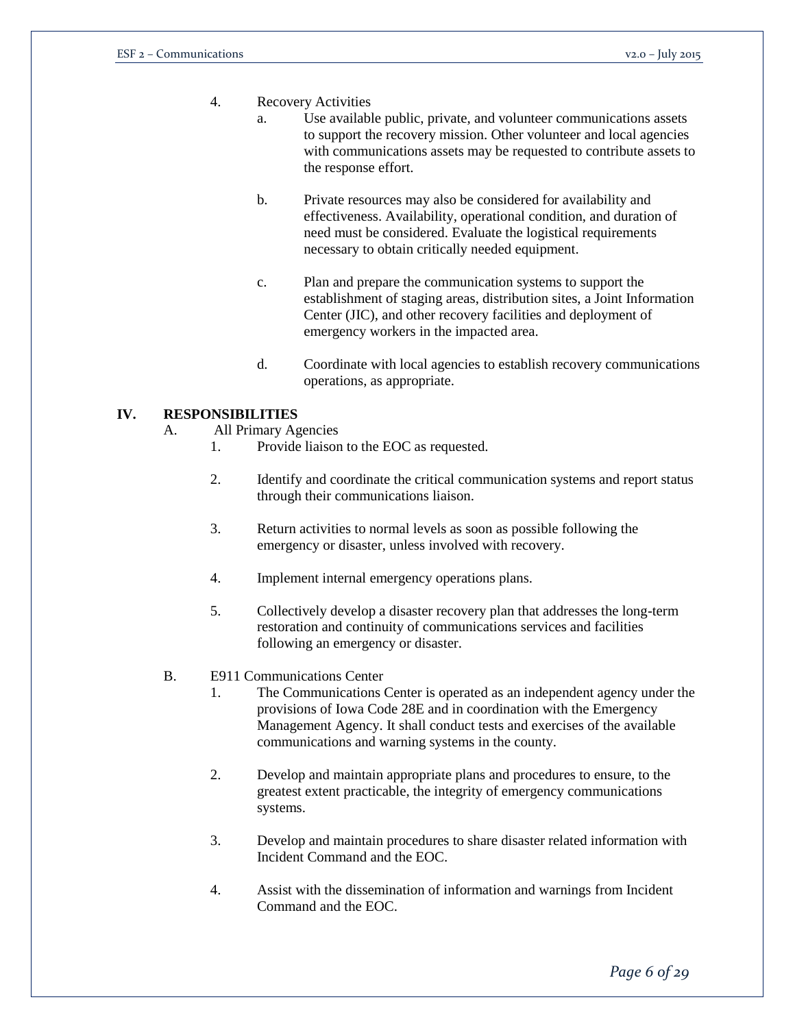- 4. Recovery Activities
	- a. Use available public, private, and volunteer communications assets to support the recovery mission. Other volunteer and local agencies with communications assets may be requested to contribute assets to the response effort.
	- b. Private resources may also be considered for availability and effectiveness. Availability, operational condition, and duration of need must be considered. Evaluate the logistical requirements necessary to obtain critically needed equipment.
	- c. Plan and prepare the communication systems to support the establishment of staging areas, distribution sites, a Joint Information Center (JIC), and other recovery facilities and deployment of emergency workers in the impacted area.
	- d. Coordinate with local agencies to establish recovery communications operations, as appropriate.

### **IV. RESPONSIBILITIES**

- A. All Primary Agencies
	- 1. Provide liaison to the EOC as requested.
	- 2. Identify and coordinate the critical communication systems and report status through their communications liaison.
	- 3. Return activities to normal levels as soon as possible following the emergency or disaster, unless involved with recovery.
	- 4. Implement internal emergency operations plans.
	- 5. Collectively develop a disaster recovery plan that addresses the long-term restoration and continuity of communications services and facilities following an emergency or disaster.
- B. E911 Communications Center
	- 1. The Communications Center is operated as an independent agency under the provisions of Iowa Code 28E and in coordination with the Emergency Management Agency. It shall conduct tests and exercises of the available communications and warning systems in the county.
	- 2. Develop and maintain appropriate plans and procedures to ensure, to the greatest extent practicable, the integrity of emergency communications systems.
	- 3. Develop and maintain procedures to share disaster related information with Incident Command and the EOC.
	- 4. Assist with the dissemination of information and warnings from Incident Command and the EOC.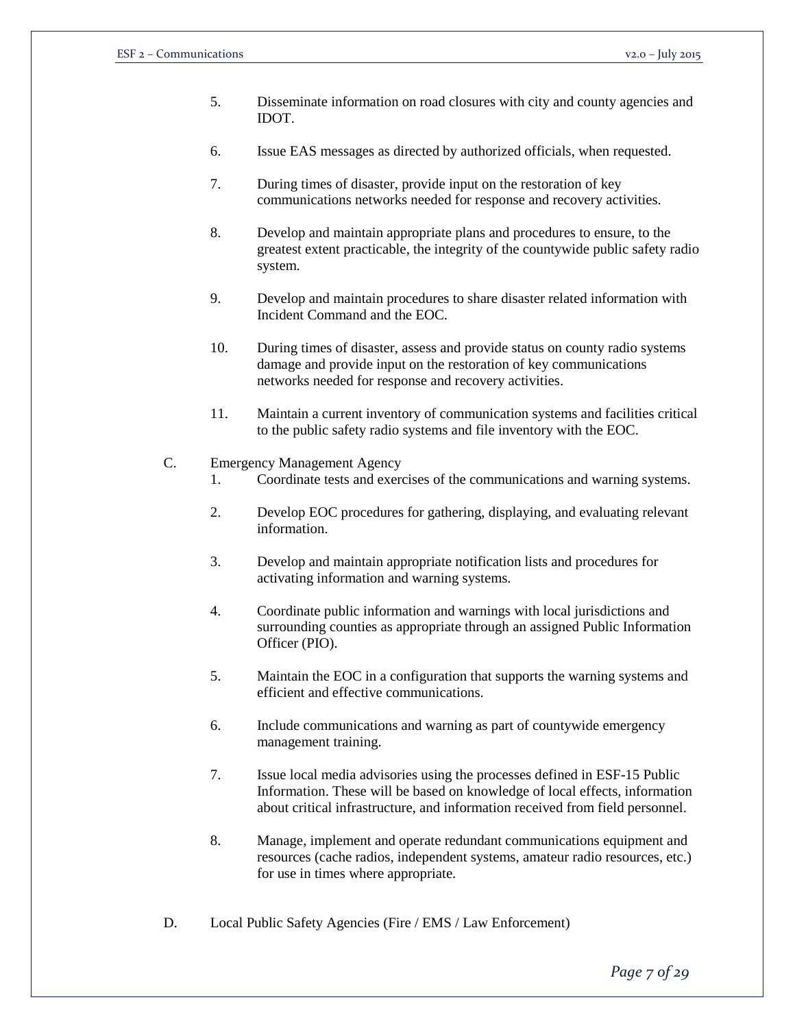- 5. Disseminate information on road closures with city and county agencies and IDOT.
- 6. Issue EAS messages as directed by authorized officials, when requested.
- 7. During times of disaster, provide input on the restoration of key communications networks needed for response and recovery activities.
- 8. Develop and maintain appropriate plans and procedures to ensure, to the greatest extent practicable, the integrity of the countywide public safety radio system.
- 9. Develop and maintain procedures to share disaster related information with Incident Command and the EOC.
- 10. During times of disaster, assess and provide status on county radio systems damage and provide input on the restoration of key communications networks needed for response and recovery activities.
- 11. Maintain a current inventory of communication systems and facilities critical to the public safety radio systems and file inventory with the EOC.
- C. Emergency Management Agency
	- 1. Coordinate tests and exercises of the communications and warning systems.
	- 2. Develop EOC procedures for gathering, displaying, and evaluating relevant information.
	- 3. Develop and maintain appropriate notification lists and procedures for activating information and warning systems.
	- 4. Coordinate public information and warnings with local jurisdictions and surrounding counties as appropriate through an assigned Public Information Officer (PIO).
	- 5. Maintain the EOC in a configuration that supports the warning systems and efficient and effective communications.
	- 6. Include communications and warning as part of countywide emergency management training.
	- 7. Issue local media advisories using the processes defined in ESF-15 Public Information. These will be based on knowledge of local effects, information about critical infrastructure, and information received from field personnel.
	- 8. Manage, implement and operate redundant communications equipment and resources (cache radios, independent systems, amateur radio resources, etc.) for use in times where appropriate.
- D. Local Public Safety Agencies (Fire / EMS / Law Enforcement)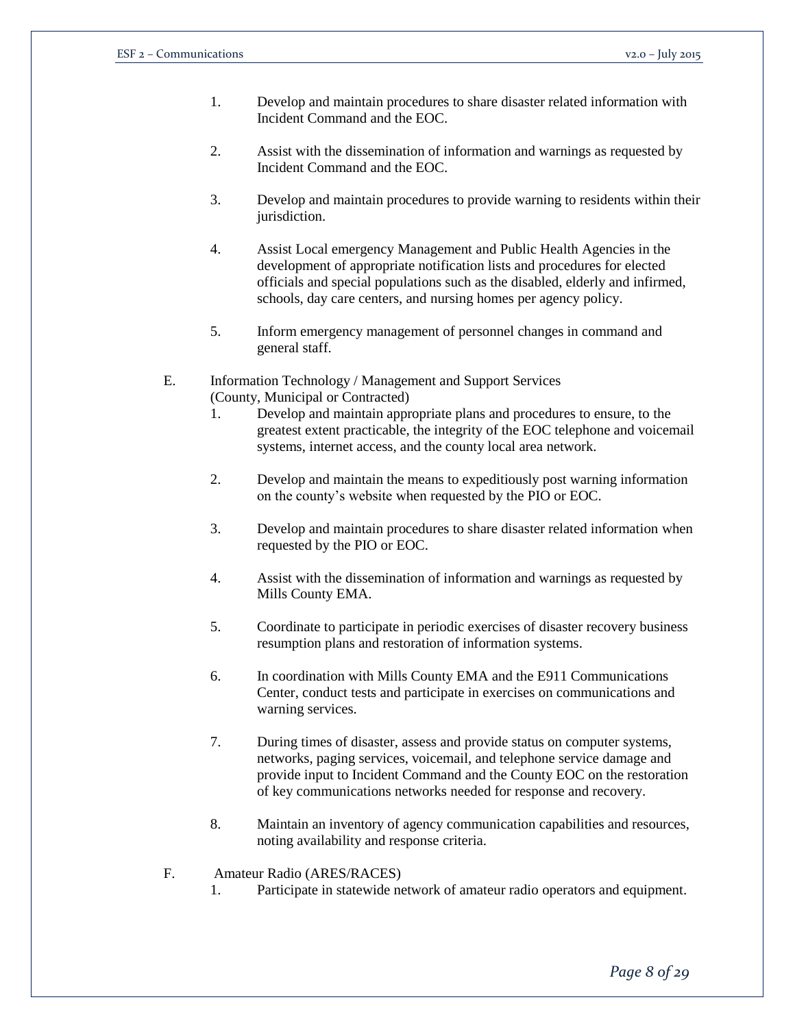- 1. Develop and maintain procedures to share disaster related information with Incident Command and the EOC.
- 2. Assist with the dissemination of information and warnings as requested by Incident Command and the EOC.
- 3. Develop and maintain procedures to provide warning to residents within their jurisdiction.
- 4. Assist Local emergency Management and Public Health Agencies in the development of appropriate notification lists and procedures for elected officials and special populations such as the disabled, elderly and infirmed, schools, day care centers, and nursing homes per agency policy.
- 5. Inform emergency management of personnel changes in command and general staff.

### E. Information Technology / Management and Support Services (County, Municipal or Contracted)

- 1. Develop and maintain appropriate plans and procedures to ensure, to the greatest extent practicable, the integrity of the EOC telephone and voicemail systems, internet access, and the county local area network.
- 2. Develop and maintain the means to expeditiously post warning information on the county's website when requested by the PIO or EOC.
- 3. Develop and maintain procedures to share disaster related information when requested by the PIO or EOC.
- 4. Assist with the dissemination of information and warnings as requested by Mills County EMA.
- 5. Coordinate to participate in periodic exercises of disaster recovery business resumption plans and restoration of information systems.
- 6. In coordination with Mills County EMA and the E911 Communications Center, conduct tests and participate in exercises on communications and warning services.
- 7. During times of disaster, assess and provide status on computer systems, networks, paging services, voicemail, and telephone service damage and provide input to Incident Command and the County EOC on the restoration of key communications networks needed for response and recovery.
- 8. Maintain an inventory of agency communication capabilities and resources, noting availability and response criteria.
- F. Amateur Radio (ARES/RACES)
	- 1. Participate in statewide network of amateur radio operators and equipment.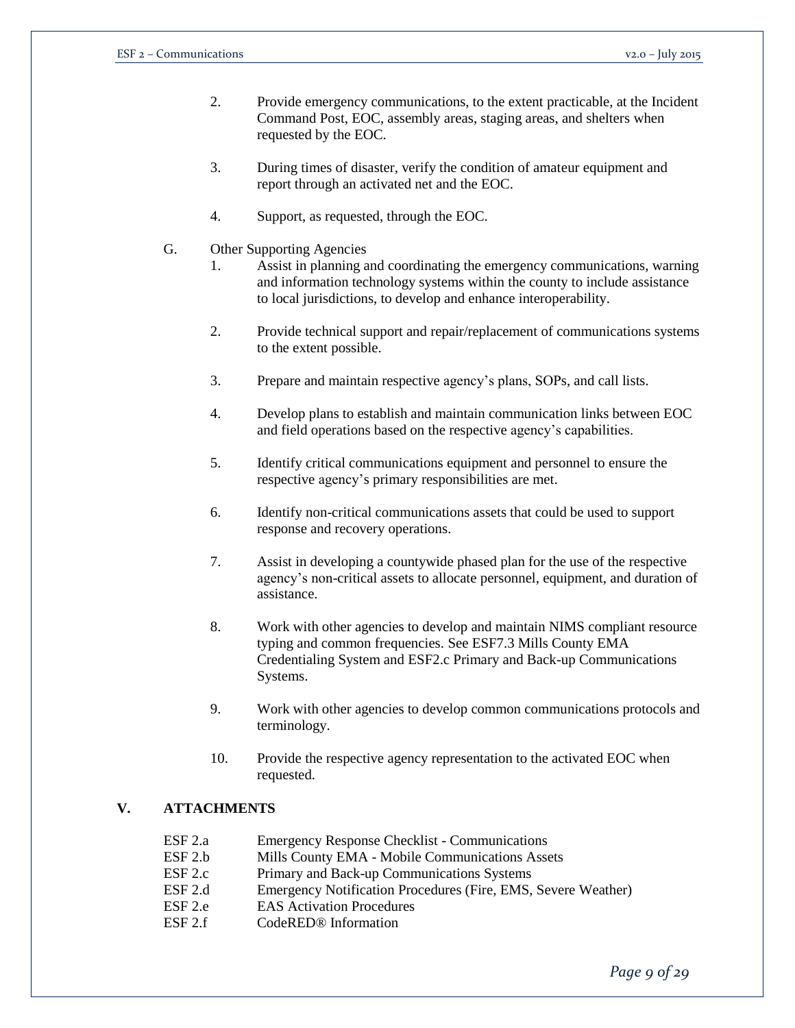- 2. Provide emergency communications, to the extent practicable, at the Incident Command Post, EOC, assembly areas, staging areas, and shelters when requested by the EOC.
- 3. During times of disaster, verify the condition of amateur equipment and report through an activated net and the EOC.
- 4. Support, as requested, through the EOC.
- G. Other Supporting Agencies
	- 1. Assist in planning and coordinating the emergency communications, warning and information technology systems within the county to include assistance to local jurisdictions, to develop and enhance interoperability.
	- 2. Provide technical support and repair/replacement of communications systems to the extent possible.
	- 3. Prepare and maintain respective agency's plans, SOPs, and call lists.
	- 4. Develop plans to establish and maintain communication links between EOC and field operations based on the respective agency's capabilities.
	- 5. Identify critical communications equipment and personnel to ensure the respective agency's primary responsibilities are met.
	- 6. Identify non-critical communications assets that could be used to support response and recovery operations.
	- 7. Assist in developing a countywide phased plan for the use of the respective agency's non-critical assets to allocate personnel, equipment, and duration of assistance.
	- 8. Work with other agencies to develop and maintain NIMS compliant resource typing and common frequencies. See ESF7.3 Mills County EMA Credentialing System and ESF2.c Primary and Back-up Communications Systems.
	- 9. Work with other agencies to develop common communications protocols and terminology.
	- 10. Provide the respective agency representation to the activated EOC when requested.

# **V. ATTACHMENTS**

- ESF 2.a Emergency Response Checklist Communications ESF 2.b Mills County EMA - Mobile Communications Assets ESF 2.c Primary and Back-up Communications Systems ESF 2.d Emergency Notification Procedures (Fire, EMS, Severe Weather) ESF 2.e EAS Activation Procedures
- ESF 2.f CodeRED® Information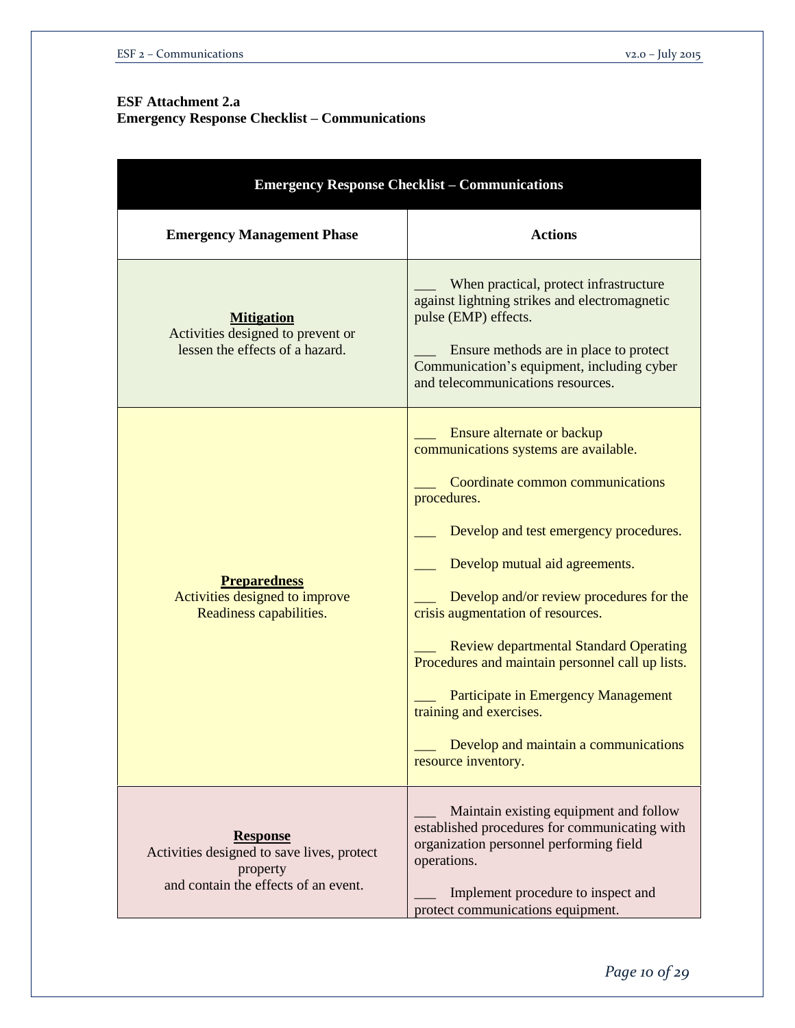# **ESF Attachment 2.a**

**Emergency Response Checklist – Communications**

| <b>Emergency Response Checklist - Communications</b>                                                              |                                                                                                                                                                                                                                                                                                                                                                                                                                                                                                                            |  |  |
|-------------------------------------------------------------------------------------------------------------------|----------------------------------------------------------------------------------------------------------------------------------------------------------------------------------------------------------------------------------------------------------------------------------------------------------------------------------------------------------------------------------------------------------------------------------------------------------------------------------------------------------------------------|--|--|
| <b>Emergency Management Phase</b>                                                                                 | <b>Actions</b>                                                                                                                                                                                                                                                                                                                                                                                                                                                                                                             |  |  |
| <b>Mitigation</b><br>Activities designed to prevent or<br>lessen the effects of a hazard.                         | When practical, protect infrastructure<br>against lightning strikes and electromagnetic<br>pulse (EMP) effects.<br>Ensure methods are in place to protect<br>Communication's equipment, including cyber<br>and telecommunications resources.                                                                                                                                                                                                                                                                               |  |  |
| <b>Preparedness</b><br>Activities designed to improve<br>Readiness capabilities.                                  | Ensure alternate or backup<br>communications systems are available.<br>Coordinate common communications<br>procedures.<br>Develop and test emergency procedures.<br>Develop mutual aid agreements.<br>Develop and/or review procedures for the<br>crisis augmentation of resources.<br><b>Review departmental Standard Operating</b><br>Procedures and maintain personnel call up lists.<br>Participate in Emergency Management<br>training and exercises.<br>Develop and maintain a communications<br>resource inventory. |  |  |
| <b>Response</b><br>Activities designed to save lives, protect<br>property<br>and contain the effects of an event. | Maintain existing equipment and follow<br>established procedures for communicating with<br>organization personnel performing field<br>operations.<br>Implement procedure to inspect and<br>protect communications equipment.                                                                                                                                                                                                                                                                                               |  |  |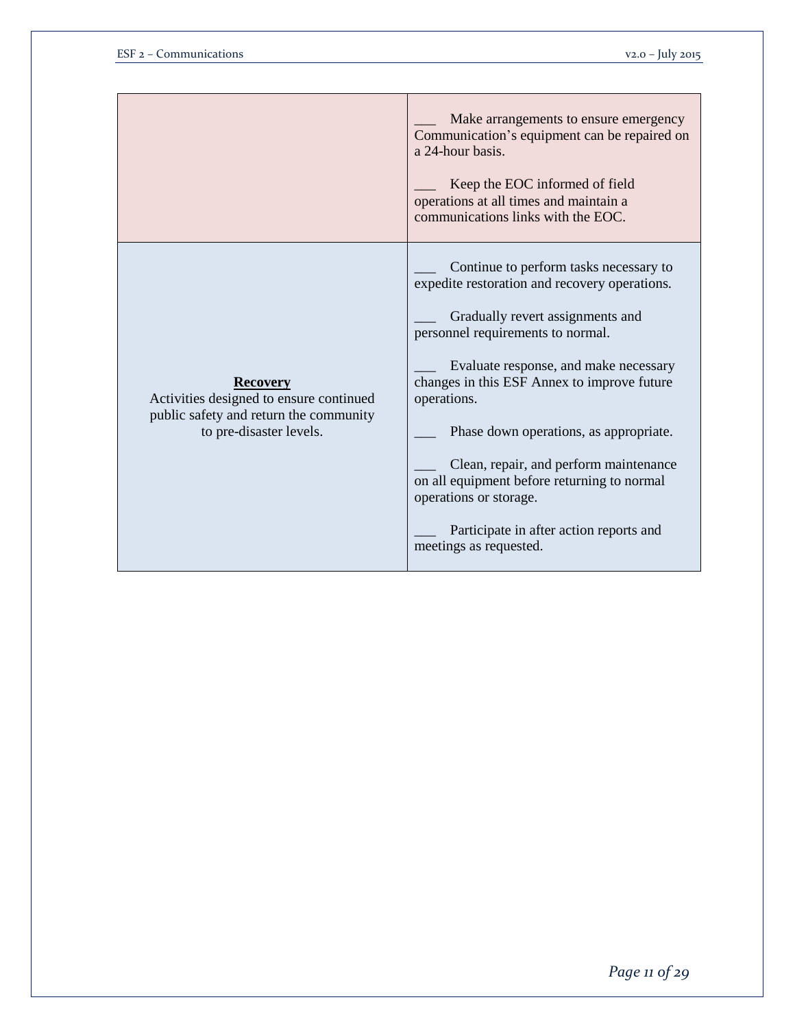|                                                                                                                                 | Make arrangements to ensure emergency<br>Communication's equipment can be repaired on<br>a 24-hour basis.<br>Keep the EOC informed of field<br>operations at all times and maintain a<br>communications links with the EOC.                                                                                                                                                                                                                                                                               |
|---------------------------------------------------------------------------------------------------------------------------------|-----------------------------------------------------------------------------------------------------------------------------------------------------------------------------------------------------------------------------------------------------------------------------------------------------------------------------------------------------------------------------------------------------------------------------------------------------------------------------------------------------------|
| <b>Recovery</b><br>Activities designed to ensure continued<br>public safety and return the community<br>to pre-disaster levels. | Continue to perform tasks necessary to<br>expedite restoration and recovery operations.<br>Gradually revert assignments and<br>personnel requirements to normal.<br>Evaluate response, and make necessary<br>changes in this ESF Annex to improve future<br>operations.<br>Phase down operations, as appropriate.<br>Clean, repair, and perform maintenance<br>on all equipment before returning to normal<br>operations or storage.<br>Participate in after action reports and<br>meetings as requested. |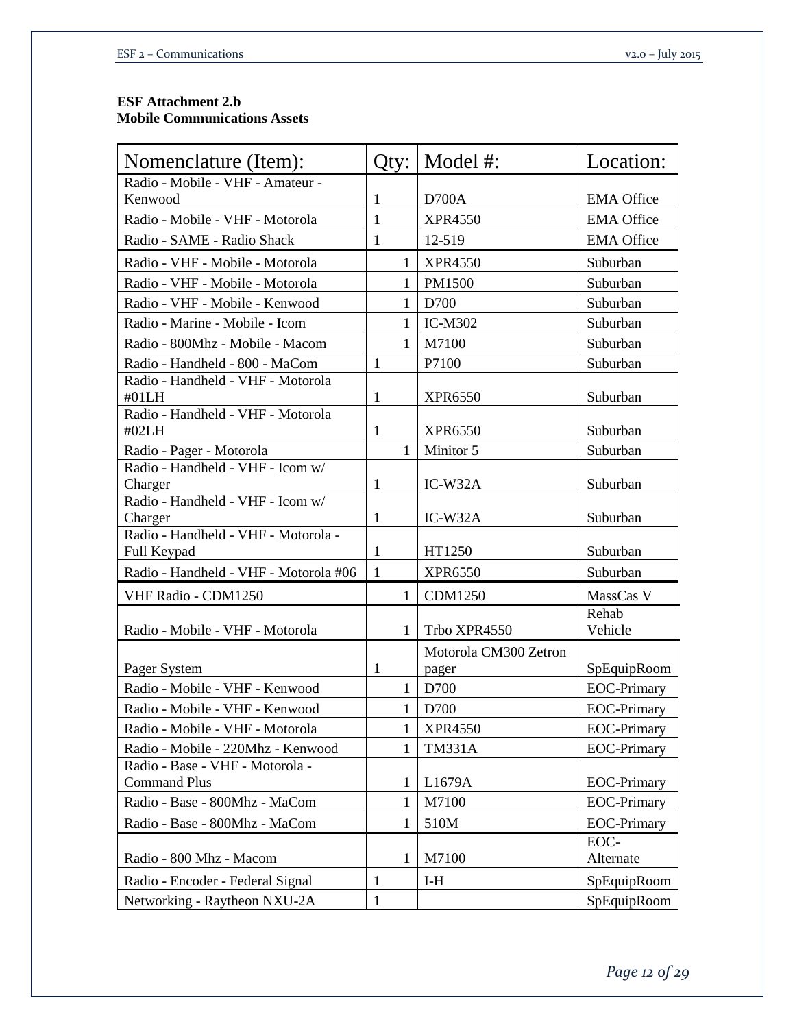# **ESF Attachment 2.b Mobile Communications Assets**

| Nomenclature (Item):                                   | Qty:         | Model #:                       | Location:          |
|--------------------------------------------------------|--------------|--------------------------------|--------------------|
| Radio - Mobile - VHF - Amateur -                       |              |                                |                    |
| Kenwood                                                | 1            | D700A                          | <b>EMA</b> Office  |
| Radio - Mobile - VHF - Motorola                        | 1            | <b>XPR4550</b>                 | <b>EMA Office</b>  |
| Radio - SAME - Radio Shack                             | $\mathbf{1}$ | 12-519                         | <b>EMA Office</b>  |
| Radio - VHF - Mobile - Motorola                        | 1            | <b>XPR4550</b>                 | Suburban           |
| Radio - VHF - Mobile - Motorola                        | 1            | PM1500                         | Suburban           |
| Radio - VHF - Mobile - Kenwood                         | 1            | D700                           | Suburban           |
| Radio - Marine - Mobile - Icom                         | 1            | <b>IC-M302</b>                 | Suburban           |
| Radio - 800Mhz - Mobile - Macom                        | 1            | M7100                          | Suburban           |
| Radio - Handheld - 800 - MaCom                         | $\mathbf{1}$ | P7100                          | Suburban           |
| Radio - Handheld - VHF - Motorola<br>#01LH             | 1            | <b>XPR6550</b>                 | Suburban           |
| Radio - Handheld - VHF - Motorola<br>#02LH             | $\mathbf{1}$ | <b>XPR6550</b>                 | Suburban           |
| Radio - Pager - Motorola                               | 1            | Minitor 5                      | Suburban           |
| Radio - Handheld - VHF - Icom w/<br>Charger            | $\mathbf{1}$ | $IC-W32A$                      | Suburban           |
| Radio - Handheld - VHF - Icom w/<br>Charger            | $\mathbf{1}$ | $IC-W32A$                      | Suburban           |
| Radio - Handheld - VHF - Motorola -<br>Full Keypad     | 1            | HT1250                         | Suburban           |
| Radio - Handheld - VHF - Motorola #06                  | $\mathbf{1}$ | <b>XPR6550</b>                 | Suburban           |
| VHF Radio - CDM1250                                    | 1            | <b>CDM1250</b>                 | MassCas V          |
| Radio - Mobile - VHF - Motorola                        | 1            | Trbo XPR4550                   | Rehab<br>Vehicle   |
| Pager System                                           | 1            | Motorola CM300 Zetron<br>pager | SpEquipRoom        |
| Radio - Mobile - VHF - Kenwood                         | $\mathbf{1}$ | D700                           | <b>EOC-Primary</b> |
| Radio - Mobile - VHF - Kenwood                         | 1            | D700                           | <b>EOC-Primary</b> |
| Radio - Mobile - VHF - Motorola                        | $\mathbf{1}$ | <b>XPR4550</b>                 | <b>EOC-Primary</b> |
| Radio - Mobile - 220Mhz - Kenwood                      | 1            | <b>TM331A</b>                  | <b>EOC-Primary</b> |
| Radio - Base - VHF - Motorola -<br><b>Command Plus</b> | 1            | L1679A                         | <b>EOC-Primary</b> |
| Radio - Base - 800Mhz - MaCom                          | 1            | M7100                          | <b>EOC-Primary</b> |
| Radio - Base - 800Mhz - MaCom                          | 1            | 510M                           | <b>EOC-Primary</b> |
| Radio - 800 Mhz - Macom                                | 1            | M7100                          | EOC-<br>Alternate  |
| Radio - Encoder - Federal Signal                       | $\mathbf{1}$ | $I-H$                          | SpEquipRoom        |
| Networking - Raytheon NXU-2A                           | 1            |                                | SpEquipRoom        |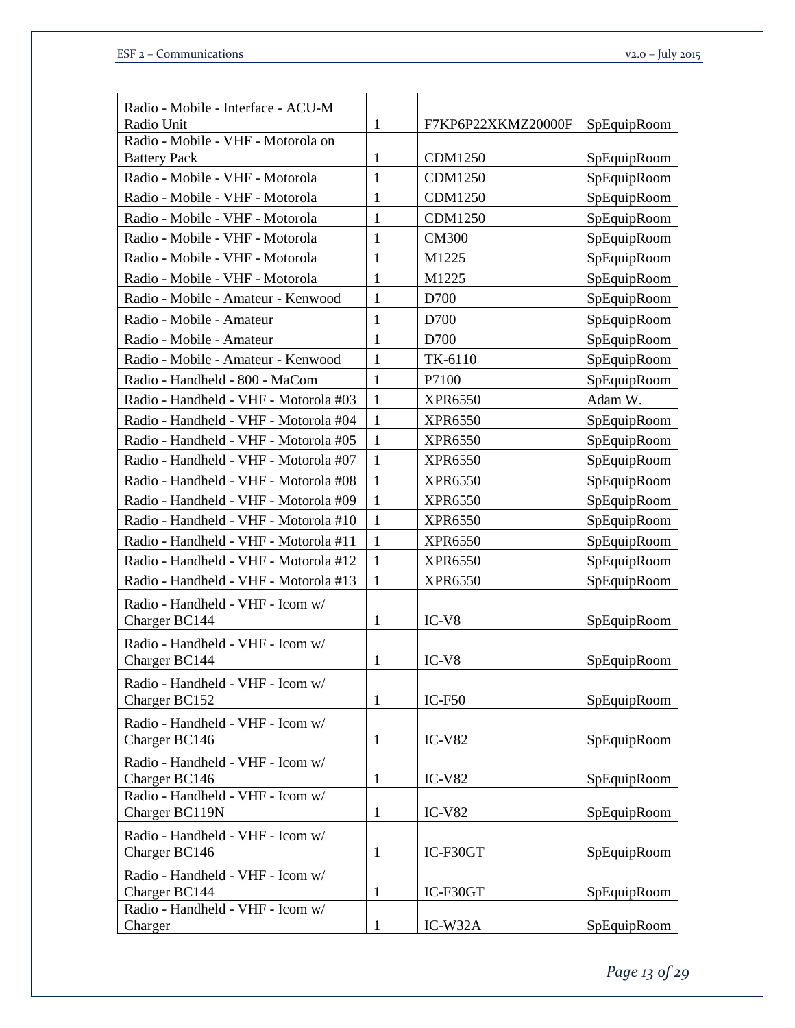| Radio - Mobile - Interface - ACU-M<br>Radio Unit   | $\mathbf{1}$ | F7KP6P22XKMZ20000F | SpEquipRoom |
|----------------------------------------------------|--------------|--------------------|-------------|
| Radio - Mobile - VHF - Motorola on                 |              |                    |             |
| <b>Battery Pack</b>                                | 1            | <b>CDM1250</b>     | SpEquipRoom |
| Radio - Mobile - VHF - Motorola                    | 1            | <b>CDM1250</b>     | SpEquipRoom |
| Radio - Mobile - VHF - Motorola                    | 1            | <b>CDM1250</b>     | SpEquipRoom |
| Radio - Mobile - VHF - Motorola                    | 1            | <b>CDM1250</b>     | SpEquipRoom |
| Radio - Mobile - VHF - Motorola                    | 1            | <b>CM300</b>       | SpEquipRoom |
| Radio - Mobile - VHF - Motorola                    | $\mathbf{1}$ | M1225              | SpEquipRoom |
| Radio - Mobile - VHF - Motorola                    | $\mathbf{1}$ | M1225              | SpEquipRoom |
| Radio - Mobile - Amateur - Kenwood                 | 1            | D700               | SpEquipRoom |
| Radio - Mobile - Amateur                           | 1            | D700               | SpEquipRoom |
| Radio - Mobile - Amateur                           | 1            | D700               | SpEquipRoom |
| Radio - Mobile - Amateur - Kenwood                 | $\mathbf{1}$ | TK-6110            | SpEquipRoom |
| Radio - Handheld - 800 - MaCom                     | $\mathbf{1}$ | P7100              | SpEquipRoom |
| Radio - Handheld - VHF - Motorola #03              | $\mathbf{1}$ | <b>XPR6550</b>     | Adam W.     |
| Radio - Handheld - VHF - Motorola #04              | $\mathbf{1}$ | <b>XPR6550</b>     | SpEquipRoom |
| Radio - Handheld - VHF - Motorola #05              | $\mathbf{1}$ | <b>XPR6550</b>     | SpEquipRoom |
| Radio - Handheld - VHF - Motorola #07              | 1            | <b>XPR6550</b>     | SpEquipRoom |
| Radio - Handheld - VHF - Motorola #08              | $\mathbf{1}$ | <b>XPR6550</b>     | SpEquipRoom |
| Radio - Handheld - VHF - Motorola #09              | 1            | <b>XPR6550</b>     | SpEquipRoom |
| Radio - Handheld - VHF - Motorola #10              | $\mathbf{1}$ | <b>XPR6550</b>     | SpEquipRoom |
| Radio - Handheld - VHF - Motorola #11              | $\mathbf{1}$ | <b>XPR6550</b>     | SpEquipRoom |
| Radio - Handheld - VHF - Motorola #12              | $\mathbf{1}$ | <b>XPR6550</b>     | SpEquipRoom |
| Radio - Handheld - VHF - Motorola #13              | $\mathbf{1}$ | <b>XPR6550</b>     | SpEquipRoom |
| Radio - Handheld - VHF - Icom w/<br>Charger BC144  | $\mathbf{1}$ | $IC-V8$            | SpEquipRoom |
| Radio - Handheld - VHF - Icom w/<br>Charger BC144  | 1            | $IC-V8$            | SpEquipRoom |
| Radio - Handheld - VHF - Icom w/<br>Charger BC152  | $\mathbf{1}$ | $IC-F50$           | SpEquipRoom |
| Radio - Handheld - VHF - Icom w/<br>Charger BC146  | $\mathbf{1}$ | $IC-V82$           | SpEquipRoom |
| Radio - Handheld - VHF - Icom w/<br>Charger BC146  | $\mathbf{1}$ | $IC-V82$           | SpEquipRoom |
| Radio - Handheld - VHF - Icom w/<br>Charger BC119N | $\mathbf{1}$ | $IC-V82$           | SpEquipRoom |
| Radio - Handheld - VHF - Icom w/<br>Charger BC146  | $\mathbf{1}$ | IC-F30GT           | SpEquipRoom |
| Radio - Handheld - VHF - Icom w/<br>Charger BC144  | $\mathbf{1}$ | IC-F30GT           | SpEquipRoom |
| Radio - Handheld - VHF - Icom w/<br>Charger        | $\mathbf{1}$ | IC-W32A            | SpEquipRoom |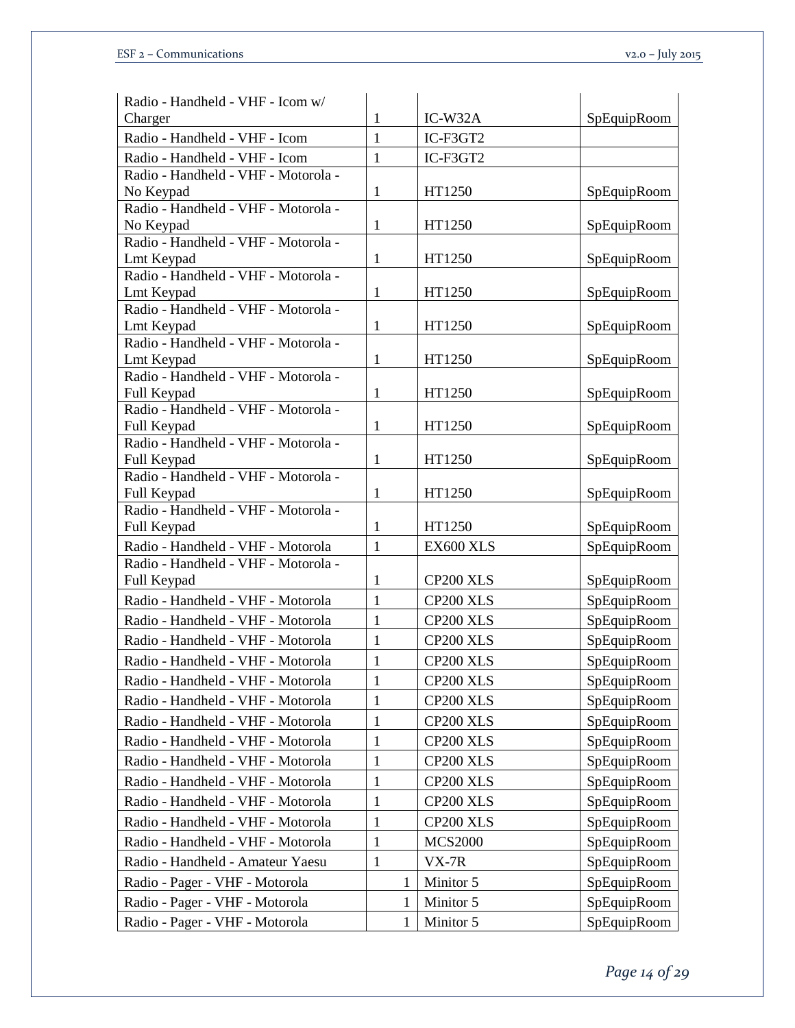| Radio - Handheld - VHF - Icom w/                   |              |                |             |
|----------------------------------------------------|--------------|----------------|-------------|
| Charger                                            | $\mathbf{1}$ | IC-W32A        | SpEquipRoom |
| Radio - Handheld - VHF - Icom                      | $\mathbf{1}$ | IC-F3GT2       |             |
| Radio - Handheld - VHF - Icom                      | $\mathbf{1}$ | IC-F3GT2       |             |
| Radio - Handheld - VHF - Motorola -                |              |                |             |
| No Keypad                                          | $\mathbf{1}$ | HT1250         | SpEquipRoom |
| Radio - Handheld - VHF - Motorola -                |              |                |             |
| No Keypad                                          | $\mathbf{1}$ | HT1250         | SpEquipRoom |
| Radio - Handheld - VHF - Motorola -                |              |                |             |
| Lmt Keypad                                         | $\mathbf{1}$ | HT1250         | SpEquipRoom |
| Radio - Handheld - VHF - Motorola -                |              |                |             |
| Lmt Keypad                                         | $\mathbf{1}$ | HT1250         | SpEquipRoom |
| Radio - Handheld - VHF - Motorola -                |              |                |             |
| Lmt Keypad<br>Radio - Handheld - VHF - Motorola -  | $\mathbf{1}$ | HT1250         | SpEquipRoom |
| Lmt Keypad                                         | $\mathbf{1}$ | HT1250         | SpEquipRoom |
| Radio - Handheld - VHF - Motorola -                |              |                |             |
| Full Keypad                                        | $\mathbf{1}$ | HT1250         | SpEquipRoom |
| Radio - Handheld - VHF - Motorola -                |              |                |             |
| Full Keypad                                        | $\mathbf{1}$ | HT1250         | SpEquipRoom |
| Radio - Handheld - VHF - Motorola -                |              |                |             |
| Full Keypad                                        | $\mathbf{1}$ | HT1250         | SpEquipRoom |
| Radio - Handheld - VHF - Motorola -                |              |                |             |
| Full Keypad                                        | $\mathbf{1}$ | HT1250         | SpEquipRoom |
| Radio - Handheld - VHF - Motorola -                |              |                |             |
| Full Keypad                                        | $\mathbf{1}$ | HT1250         | SpEquipRoom |
| Radio - Handheld - VHF - Motorola                  | $\mathbf{1}$ | EX600 XLS      | SpEquipRoom |
| Radio - Handheld - VHF - Motorola -<br>Full Keypad | $\mathbf{1}$ | CP200 XLS      | SpEquipRoom |
| Radio - Handheld - VHF - Motorola                  | $\mathbf{1}$ | CP200 XLS      |             |
|                                                    |              |                | SpEquipRoom |
| Radio - Handheld - VHF - Motorola                  | $\mathbf{1}$ | CP200 XLS      | SpEquipRoom |
| Radio - Handheld - VHF - Motorola                  | $\mathbf{1}$ | CP200 XLS      | SpEquipRoom |
| Radio - Handheld - VHF - Motorola                  | $\mathbf{1}$ | CP200 XLS      | SpEquipRoom |
| Radio - Handheld - VHF - Motorola                  | $\mathbf{1}$ | CP200 XLS      | SpEquipRoom |
| Radio - Handheld - VHF - Motorola                  | $\mathbf{1}$ | CP200 XLS      | SpEquipRoom |
| Radio - Handheld - VHF - Motorola                  | $\mathbf{1}$ | CP200 XLS      | SpEquipRoom |
| Radio - Handheld - VHF - Motorola                  | 1            | CP200 XLS      | SpEquipRoom |
| Radio - Handheld - VHF - Motorola                  | $\mathbf{1}$ | CP200 XLS      | SpEquipRoom |
| Radio - Handheld - VHF - Motorola                  | 1            | CP200 XLS      | SpEquipRoom |
| Radio - Handheld - VHF - Motorola                  |              | CP200 XLS      |             |
|                                                    | 1            |                | SpEquipRoom |
| Radio - Handheld - VHF - Motorola                  | $\mathbf{1}$ | CP200 XLS      | SpEquipRoom |
| Radio - Handheld - VHF - Motorola                  | $\mathbf{1}$ | <b>MCS2000</b> | SpEquipRoom |
| Radio - Handheld - Amateur Yaesu                   | $\mathbf{1}$ | VX-7R          | SpEquipRoom |
| Radio - Pager - VHF - Motorola                     | 1            | Minitor 5      | SpEquipRoom |
| Radio - Pager - VHF - Motorola                     | 1            | Minitor 5      | SpEquipRoom |
| Radio - Pager - VHF - Motorola                     | 1            | Minitor 5      | SpEquipRoom |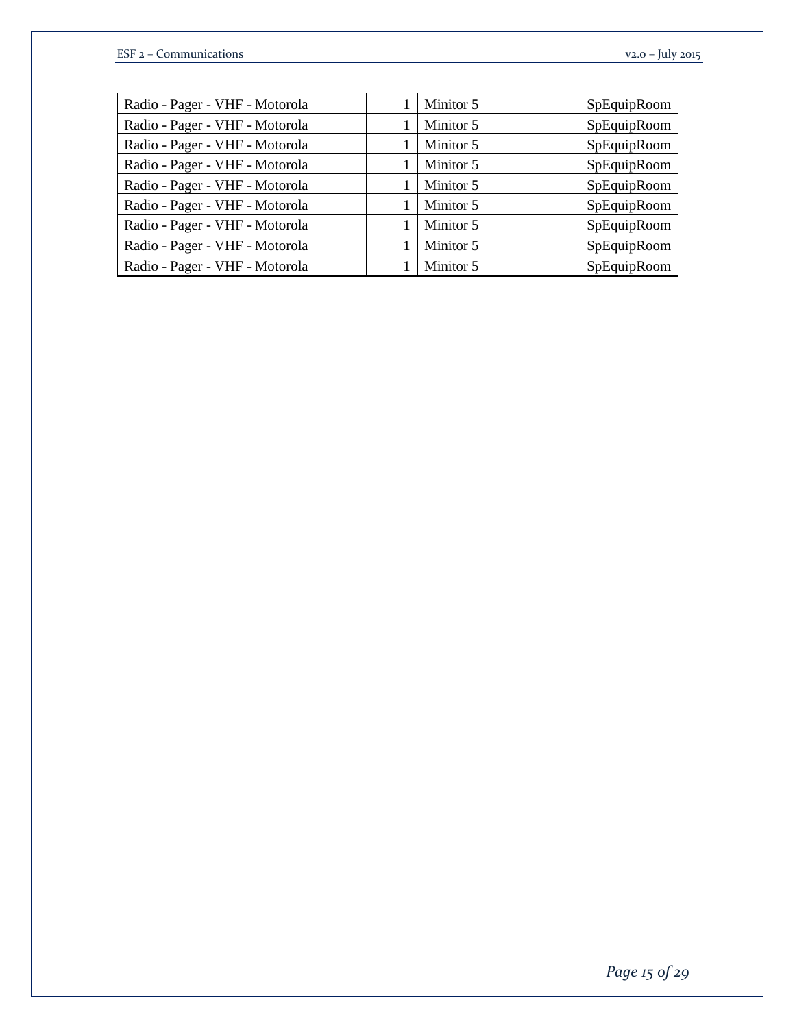| Radio - Pager - VHF - Motorola | Minitor 5 | SpEquipRoom |
|--------------------------------|-----------|-------------|
| Radio - Pager - VHF - Motorola | Minitor 5 | SpEquipRoom |
| Radio - Pager - VHF - Motorola | Minitor 5 | SpEquipRoom |
| Radio - Pager - VHF - Motorola | Minitor 5 | SpEquipRoom |
| Radio - Pager - VHF - Motorola | Minitor 5 | SpEquipRoom |
| Radio - Pager - VHF - Motorola | Minitor 5 | SpEquipRoom |
| Radio - Pager - VHF - Motorola | Minitor 5 | SpEquipRoom |
| Radio - Pager - VHF - Motorola | Minitor 5 | SpEquipRoom |
| Radio - Pager - VHF - Motorola | Minitor 5 | SpEquipRoom |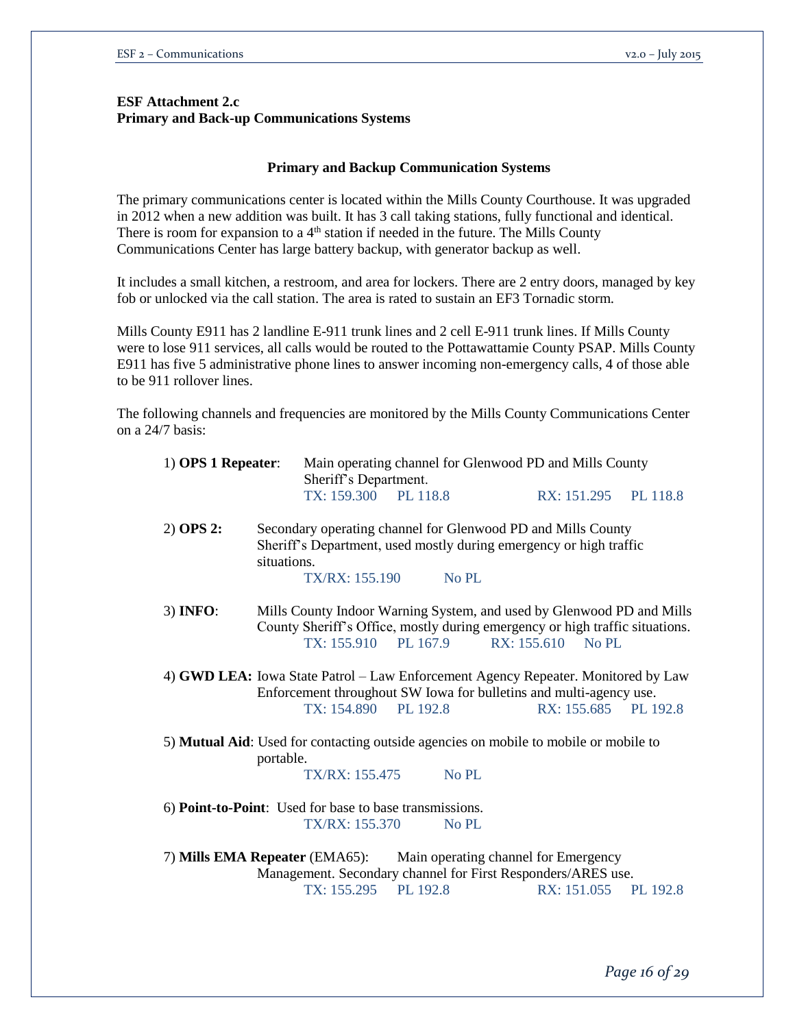### **ESF Attachment 2.c Primary and Back-up Communications Systems**

#### **Primary and Backup Communication Systems**

The primary communications center is located within the Mills County Courthouse. It was upgraded in 2012 when a new addition was built. It has 3 call taking stations, fully functional and identical. There is room for expansion to a 4<sup>th</sup> station if needed in the future. The Mills County Communications Center has large battery backup, with generator backup as well.

It includes a small kitchen, a restroom, and area for lockers. There are 2 entry doors, managed by key fob or unlocked via the call station. The area is rated to sustain an EF3 Tornadic storm.

Mills County E911 has 2 landline E-911 trunk lines and 2 cell E-911 trunk lines. If Mills County were to lose 911 services, all calls would be routed to the Pottawattamie County PSAP. Mills County E911 has five 5 administrative phone lines to answer incoming non-emergency calls, 4 of those able to be 911 rollover lines.

The following channels and frequencies are monitored by the Mills County Communications Center on a 24/7 basis:

| $1)$ OPS 1 Repeater:                                                                                                                                                                         |                                                                                                  | Main operating channel for Glenwood PD and Mills County<br>Sheriff's Department.                                                                                              |                      |          |  |  |
|----------------------------------------------------------------------------------------------------------------------------------------------------------------------------------------------|--------------------------------------------------------------------------------------------------|-------------------------------------------------------------------------------------------------------------------------------------------------------------------------------|----------------------|----------|--|--|
|                                                                                                                                                                                              | TX: 159.300 PL 118.8                                                                             |                                                                                                                                                                               | RX: 151.295 PL 118.8 |          |  |  |
| $2)$ OPS 2:                                                                                                                                                                                  | situations.<br>TX/RX: 155.190                                                                    | Secondary operating channel for Glenwood PD and Mills County<br>Sheriff's Department, used mostly during emergency or high traffic<br>No PL                                   |                      |          |  |  |
| 3) <b>INFO:</b>                                                                                                                                                                              |                                                                                                  | Mills County Indoor Warning System, and used by Glenwood PD and Mills<br>County Sheriff's Office, mostly during emergency or high traffic situations.<br>TX: 155.910 PL 167.9 | RX: 155.610 No PL    |          |  |  |
|                                                                                                                                                                                              | 4) GWD LEA: Iowa State Patrol – Law Enforcement Agency Repeater. Monitored by Law<br>TX: 154.890 | Enforcement throughout SW Iowa for bulletins and multi-agency use.<br>PL 192.8                                                                                                | RX: 155.685          | PL 192.8 |  |  |
| 5) Mutual Aid: Used for contacting outside agencies on mobile to mobile or mobile to                                                                                                         |                                                                                                  |                                                                                                                                                                               |                      |          |  |  |
|                                                                                                                                                                                              | portable.<br>TX/RX: 155.475                                                                      | No PL                                                                                                                                                                         |                      |          |  |  |
| 6) Point-to-Point: Used for base to base transmissions.                                                                                                                                      |                                                                                                  |                                                                                                                                                                               |                      |          |  |  |
|                                                                                                                                                                                              | <b>TX/RX: 155.370</b>                                                                            | $No$ PL                                                                                                                                                                       |                      |          |  |  |
| 7) Mills EMA Repeater (EMA65):<br>Main operating channel for Emergency<br>Management. Secondary channel for First Responders/ARES use.<br>TX: 155.295<br>PL 192.8<br>RX: 151.055<br>PL 192.8 |                                                                                                  |                                                                                                                                                                               |                      |          |  |  |
|                                                                                                                                                                                              |                                                                                                  |                                                                                                                                                                               |                      |          |  |  |

*Page 16 of 29*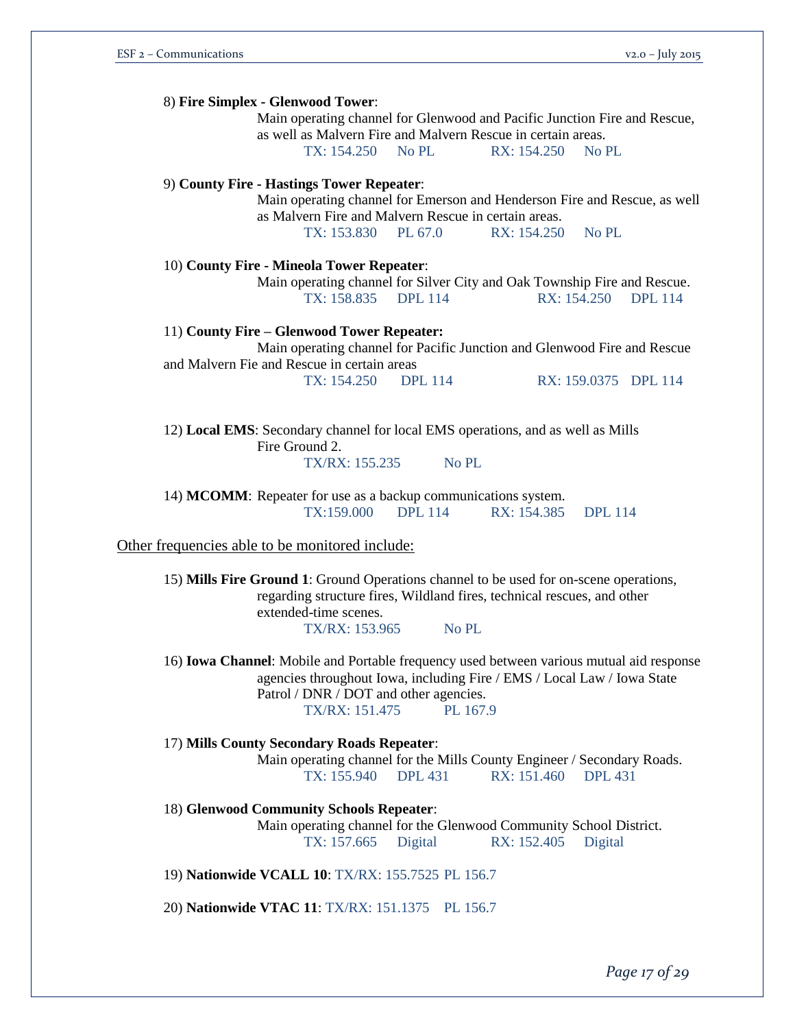| 8) Fire Simplex - Glenwood Tower:                                                                |
|--------------------------------------------------------------------------------------------------|
| Main operating channel for Glenwood and Pacific Junction Fire and Rescue,                        |
| as well as Malvern Fire and Malvern Rescue in certain areas.                                     |
| TX: 154.250 No PL<br>RX: 154.250<br>No PL                                                        |
| 9) County Fire - Hastings Tower Repeater:                                                        |
| Main operating channel for Emerson and Henderson Fire and Rescue, as well                        |
| as Malvern Fire and Malvern Rescue in certain areas.                                             |
| TX: 153.830 PL 67.0<br>RX: 154.250<br>No PL                                                      |
| 10) County Fire - Mineola Tower Repeater:                                                        |
| Main operating channel for Silver City and Oak Township Fire and Rescue.                         |
| TX: 158.835 DPL 114<br>RX: 154.250<br><b>DPL</b> 114                                             |
| 11) County Fire – Glenwood Tower Repeater:                                                       |
| Main operating channel for Pacific Junction and Glenwood Fire and Rescue                         |
| and Malvern Fie and Rescue in certain areas                                                      |
| TX: 154.250<br><b>DPL</b> 114<br>RX: 159.0375 DPL 114                                            |
|                                                                                                  |
| 12) Local EMS: Secondary channel for local EMS operations, and as well as Mills                  |
| Fire Ground 2.                                                                                   |
| TX/RX: 155.235<br>No PL                                                                          |
|                                                                                                  |
| 14) MCOMM: Repeater for use as a backup communications system.                                   |
| TX:159.000 DPL 114<br>RX: 154.385<br><b>DPL</b> 114                                              |
| Other frequencies able to be monitored include:                                                  |
|                                                                                                  |
| 15) Mills Fire Ground 1: Ground Operations channel to be used for on-scene operations,           |
| regarding structure fires, Wildland fires, technical rescues, and other<br>extended-time scenes. |
| TX/RX: 153.965<br>No PL                                                                          |
|                                                                                                  |
|                                                                                                  |

16) **Iowa Channel**: Mobile and Portable frequency used between various mutual aid response agencies throughout Iowa, including Fire / EMS / Local Law / Iowa State Patrol / DNR / DOT and other agencies. TX/RX: 151.475 PL 167.9

17) **Mills County Secondary Roads Repeater**: Main operating channel for the Mills County Engineer / Secondary Roads. TX: 155.940 DPL 431 RX: 151.460 DPL 431 18) **Glenwood Community Schools Repeater**: Main operating channel for the Glenwood Community School District. TX: 157.665 Digital RX: 152.405 Digital

19) **Nationwide VCALL 10**: TX/RX: 155.7525 PL 156.7

20) **Nationwide VTAC 11**: TX/RX: 151.1375 PL 156.7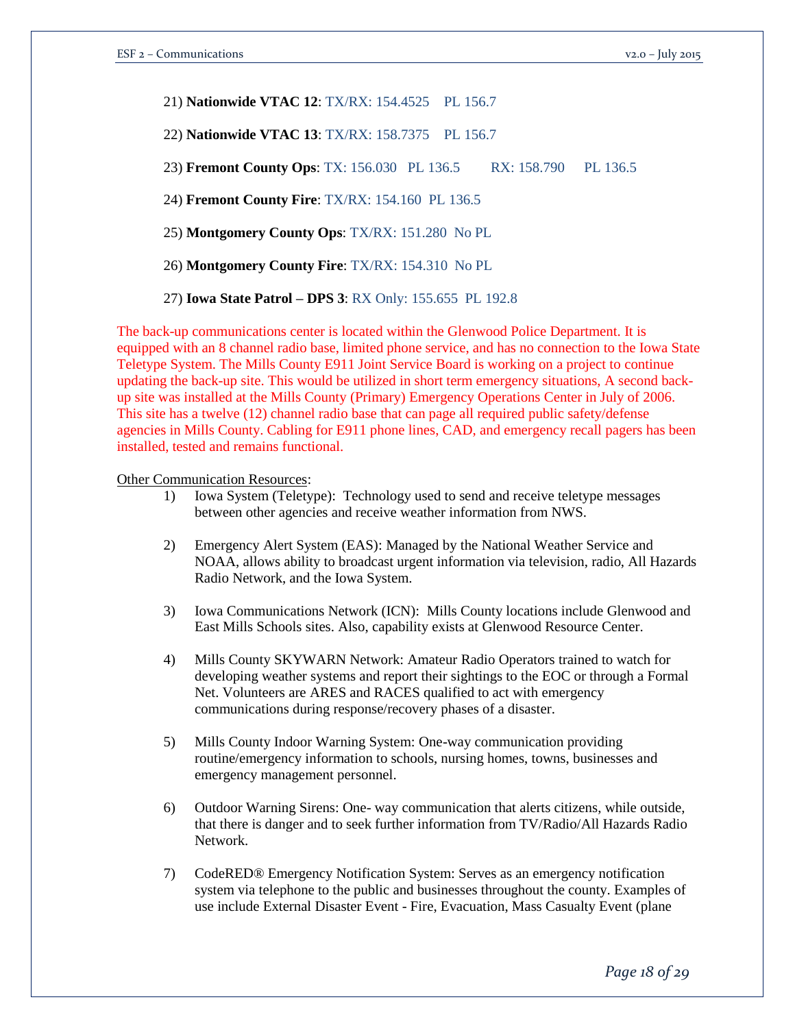21) **Nationwide VTAC 12**: TX/RX: 154.4525 PL 156.7

22) **Nationwide VTAC 13**: TX/RX: 158.7375 PL 156.7

23) **Fremont County Ops**: TX: 156.030 PL 136.5 RX: 158.790 PL 136.5

24) **Fremont County Fire**: TX/RX: 154.160 PL 136.5

25) **Montgomery County Ops**: TX/RX: 151.280 No PL

26) **Montgomery County Fire**: TX/RX: 154.310 No PL

27) **Iowa State Patrol – DPS 3**: RX Only: 155.655 PL 192.8

The back-up communications center is located within the Glenwood Police Department. It is equipped with an 8 channel radio base, limited phone service, and has no connection to the Iowa State Teletype System. The Mills County E911 Joint Service Board is working on a project to continue updating the back-up site. This would be utilized in short term emergency situations, A second backup site was installed at the Mills County (Primary) Emergency Operations Center in July of 2006. This site has a twelve (12) channel radio base that can page all required public safety/defense agencies in Mills County. Cabling for E911 phone lines, CAD, and emergency recall pagers has been installed, tested and remains functional.

Other Communication Resources:

- 1) Iowa System (Teletype): Technology used to send and receive teletype messages between other agencies and receive weather information from NWS.
- 2) Emergency Alert System (EAS): Managed by the National Weather Service and NOAA, allows ability to broadcast urgent information via television, radio, All Hazards Radio Network, and the Iowa System.
- 3) Iowa Communications Network (ICN): Mills County locations include Glenwood and East Mills Schools sites. Also, capability exists at Glenwood Resource Center.
- 4) Mills County SKYWARN Network: Amateur Radio Operators trained to watch for developing weather systems and report their sightings to the EOC or through a Formal Net. Volunteers are ARES and RACES qualified to act with emergency communications during response/recovery phases of a disaster.
- 5) Mills County Indoor Warning System: One-way communication providing routine/emergency information to schools, nursing homes, towns, businesses and emergency management personnel.
- 6) Outdoor Warning Sirens: One- way communication that alerts citizens, while outside, that there is danger and to seek further information from TV/Radio/All Hazards Radio Network.
- 7) CodeRED® Emergency Notification System: Serves as an emergency notification system via telephone to the public and businesses throughout the county. Examples of use include External Disaster Event - Fire, Evacuation, Mass Casualty Event (plane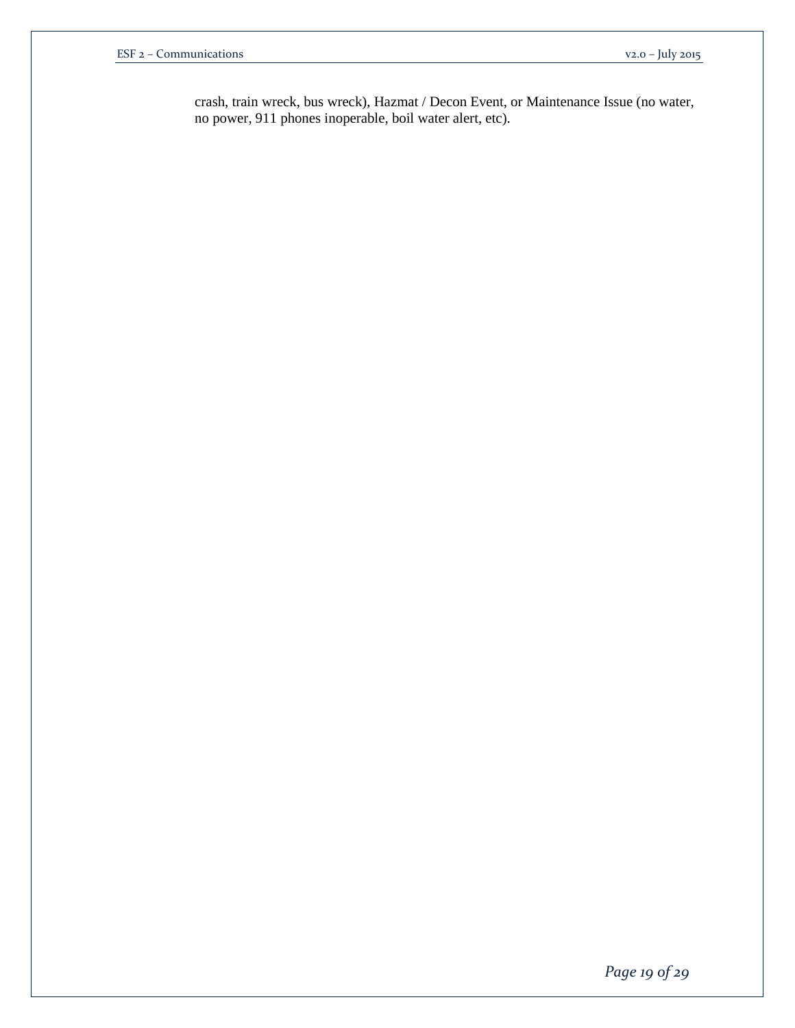crash, train wreck, bus wreck), Hazmat / Decon Event, or Maintenance Issue (no water, no power, 911 phones inoperable, boil water alert, etc).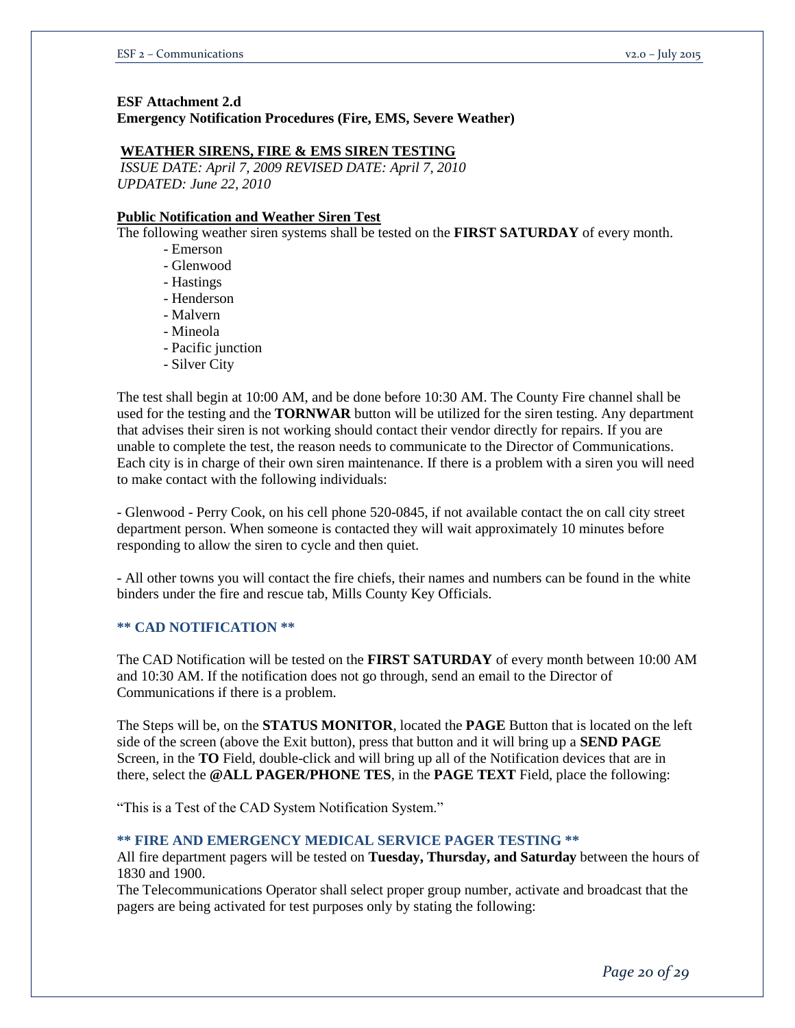### **ESF Attachment 2.d Emergency Notification Procedures (Fire, EMS, Severe Weather)**

#### **WEATHER SIRENS, FIRE & EMS SIREN TESTING**

*ISSUE DATE: April 7, 2009 REVISED DATE: April 7, 2010 UPDATED: June 22, 2010* 

#### **Public Notification and Weather Siren Test**

The following weather siren systems shall be tested on the **FIRST SATURDAY** of every month.

- Emerson
- Glenwood
- Hastings
- Henderson
- Malvern
- Mineola
- Pacific junction
- Silver City

The test shall begin at 10:00 AM, and be done before 10:30 AM. The County Fire channel shall be used for the testing and the **TORNWAR** button will be utilized for the siren testing. Any department that advises their siren is not working should contact their vendor directly for repairs. If you are unable to complete the test, the reason needs to communicate to the Director of Communications. Each city is in charge of their own siren maintenance. If there is a problem with a siren you will need to make contact with the following individuals:

- Glenwood - Perry Cook, on his cell phone 520-0845, if not available contact the on call city street department person. When someone is contacted they will wait approximately 10 minutes before responding to allow the siren to cycle and then quiet.

- All other towns you will contact the fire chiefs, their names and numbers can be found in the white binders under the fire and rescue tab, Mills County Key Officials.

#### **\*\* CAD NOTIFICATION \*\***

The CAD Notification will be tested on the **FIRST SATURDAY** of every month between 10:00 AM and 10:30 AM. If the notification does not go through, send an email to the Director of Communications if there is a problem.

The Steps will be, on the **STATUS MONITOR**, located the **PAGE** Button that is located on the left side of the screen (above the Exit button), press that button and it will bring up a **SEND PAGE**  Screen, in the **TO** Field, double-click and will bring up all of the Notification devices that are in there, select the **@ALL PAGER/PHONE TES**, in the **PAGE TEXT** Field, place the following:

"This is a Test of the CAD System Notification System."

#### **\*\* FIRE AND EMERGENCY MEDICAL SERVICE PAGER TESTING \*\***

All fire department pagers will be tested on **Tuesday, Thursday, and Saturday** between the hours of 1830 and 1900.

The Telecommunications Operator shall select proper group number, activate and broadcast that the pagers are being activated for test purposes only by stating the following: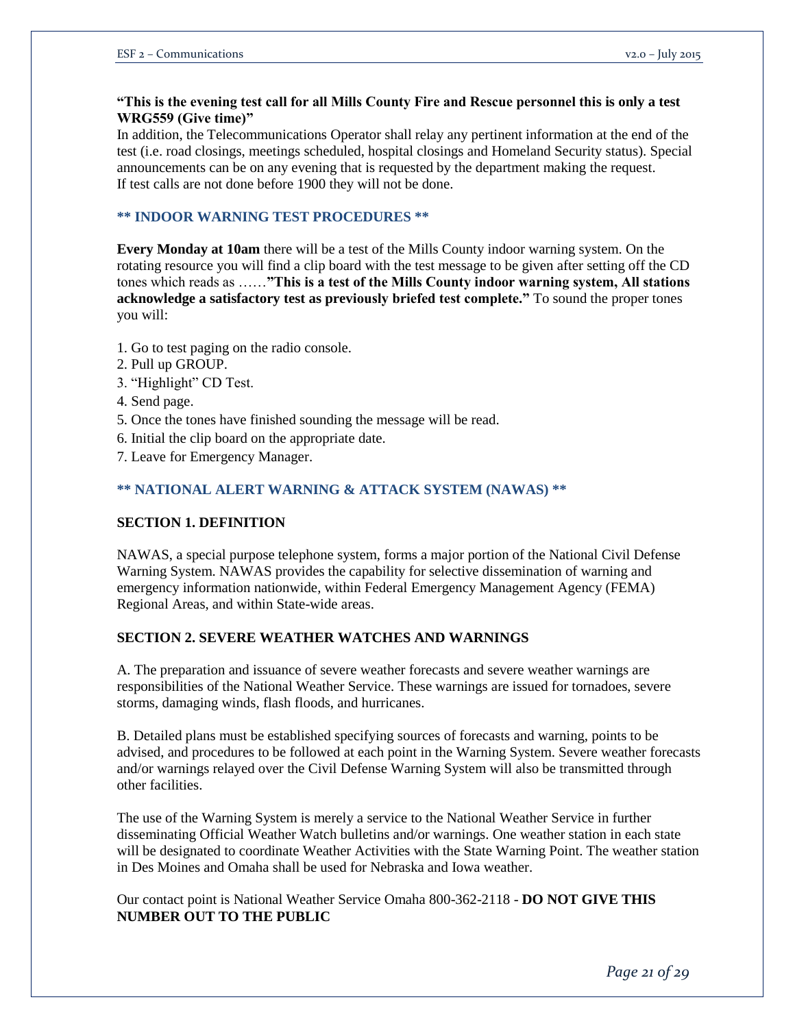### **"This is the evening test call for all Mills County Fire and Rescue personnel this is only a test WRG559 (Give time)"**

In addition, the Telecommunications Operator shall relay any pertinent information at the end of the test (i.e. road closings, meetings scheduled, hospital closings and Homeland Security status). Special announcements can be on any evening that is requested by the department making the request. If test calls are not done before 1900 they will not be done.

### **\*\* INDOOR WARNING TEST PROCEDURES \*\***

**Every Monday at 10am** there will be a test of the Mills County indoor warning system. On the rotating resource you will find a clip board with the test message to be given after setting off the CD tones which reads as ……**"This is a test of the Mills County indoor warning system, All stations acknowledge a satisfactory test as previously briefed test complete."** To sound the proper tones you will:

- 1. Go to test paging on the radio console.
- 2. Pull up GROUP.
- 3. "Highlight" CD Test.
- 4. Send page.
- 5. Once the tones have finished sounding the message will be read.
- 6. Initial the clip board on the appropriate date.
- 7. Leave for Emergency Manager.

### **\*\* NATIONAL ALERT WARNING & ATTACK SYSTEM (NAWAS) \*\***

#### **SECTION 1. DEFINITION**

NAWAS, a special purpose telephone system, forms a major portion of the National Civil Defense Warning System. NAWAS provides the capability for selective dissemination of warning and emergency information nationwide, within Federal Emergency Management Agency (FEMA) Regional Areas, and within State-wide areas.

#### **SECTION 2. SEVERE WEATHER WATCHES AND WARNINGS**

A. The preparation and issuance of severe weather forecasts and severe weather warnings are responsibilities of the National Weather Service. These warnings are issued for tornadoes, severe storms, damaging winds, flash floods, and hurricanes.

B. Detailed plans must be established specifying sources of forecasts and warning, points to be advised, and procedures to be followed at each point in the Warning System. Severe weather forecasts and/or warnings relayed over the Civil Defense Warning System will also be transmitted through other facilities.

The use of the Warning System is merely a service to the National Weather Service in further disseminating Official Weather Watch bulletins and/or warnings. One weather station in each state will be designated to coordinate Weather Activities with the State Warning Point. The weather station in Des Moines and Omaha shall be used for Nebraska and Iowa weather.

Our contact point is National Weather Service Omaha 800-362-2118 - **DO NOT GIVE THIS NUMBER OUT TO THE PUBLIC**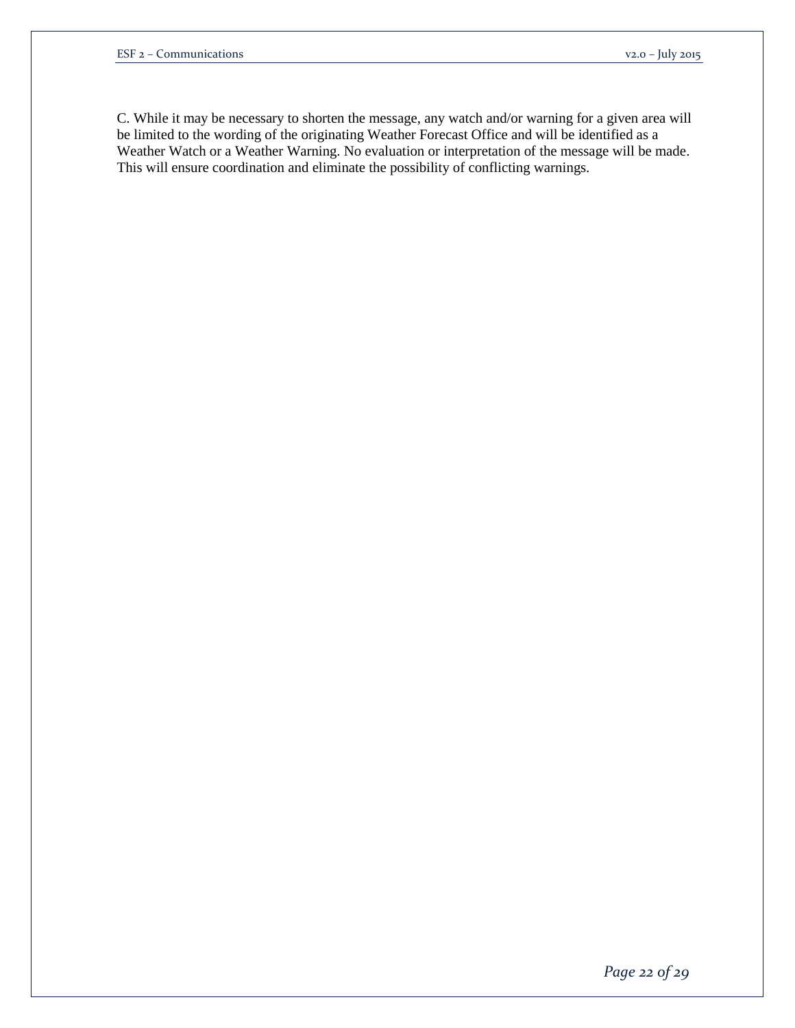C. While it may be necessary to shorten the message, any watch and/or warning for a given area will be limited to the wording of the originating Weather Forecast Office and will be identified as a Weather Watch or a Weather Warning. No evaluation or interpretation of the message will be made. This will ensure coordination and eliminate the possibility of conflicting warnings.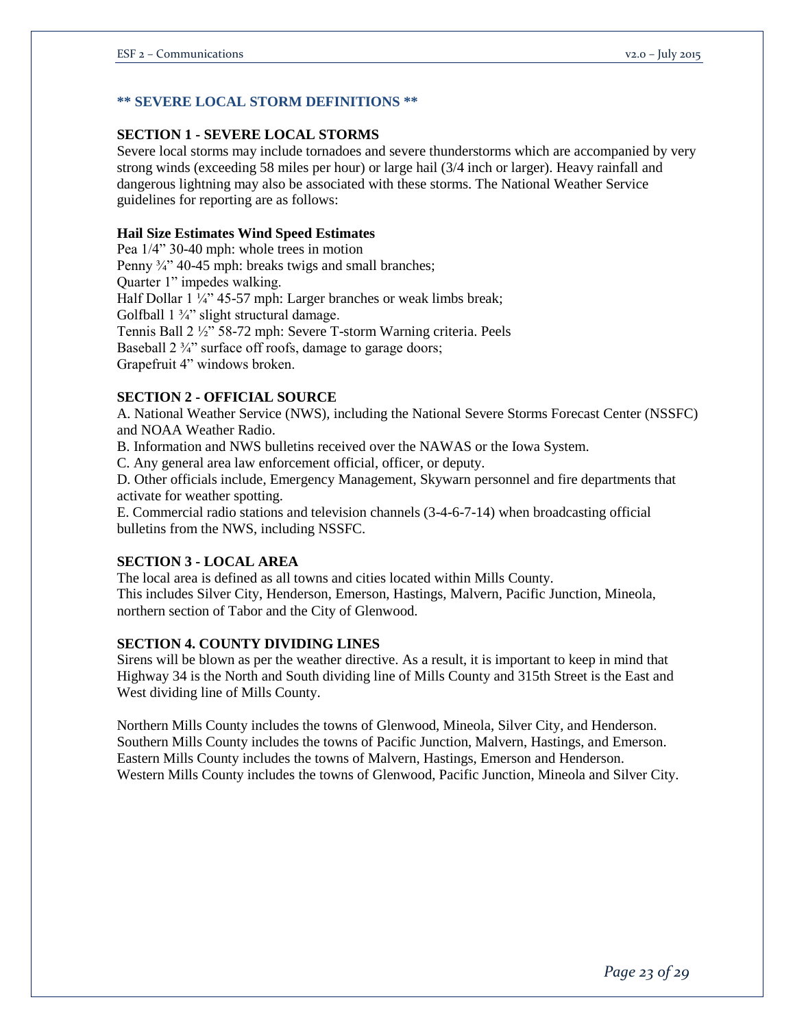### **\*\* SEVERE LOCAL STORM DEFINITIONS \*\***

#### **SECTION 1 - SEVERE LOCAL STORMS**

Severe local storms may include tornadoes and severe thunderstorms which are accompanied by very strong winds (exceeding 58 miles per hour) or large hail (3/4 inch or larger). Heavy rainfall and dangerous lightning may also be associated with these storms. The National Weather Service guidelines for reporting are as follows:

#### **Hail Size Estimates Wind Speed Estimates**

Pea 1/4" 30-40 mph: whole trees in motion Penny  $\frac{3}{4}$ <sup>3</sup> 40-45 mph: breaks twigs and small branches; Quarter 1" impedes walking. Half Dollar 1 1/4" 45-57 mph: Larger branches or weak limbs break; Golfball  $1 \frac{3}{4}$ " slight structural damage. Tennis Ball 2 ½" 58-72 mph: Severe T-storm Warning criteria. Peels Baseball 2  $\frac{3}{4}$ " surface off roofs, damage to garage doors; Grapefruit 4" windows broken.

#### **SECTION 2 - OFFICIAL SOURCE**

A. National Weather Service (NWS), including the National Severe Storms Forecast Center (NSSFC) and NOAA Weather Radio.

B. Information and NWS bulletins received over the NAWAS or the Iowa System.

C. Any general area law enforcement official, officer, or deputy.

D. Other officials include, Emergency Management, Skywarn personnel and fire departments that activate for weather spotting.

E. Commercial radio stations and television channels (3-4-6-7-14) when broadcasting official bulletins from the NWS, including NSSFC.

#### **SECTION 3 - LOCAL AREA**

The local area is defined as all towns and cities located within Mills County. This includes Silver City, Henderson, Emerson, Hastings, Malvern, Pacific Junction, Mineola, northern section of Tabor and the City of Glenwood.

### **SECTION 4. COUNTY DIVIDING LINES**

Sirens will be blown as per the weather directive. As a result, it is important to keep in mind that Highway 34 is the North and South dividing line of Mills County and 315th Street is the East and West dividing line of Mills County.

Northern Mills County includes the towns of Glenwood, Mineola, Silver City, and Henderson. Southern Mills County includes the towns of Pacific Junction, Malvern, Hastings, and Emerson. Eastern Mills County includes the towns of Malvern, Hastings, Emerson and Henderson. Western Mills County includes the towns of Glenwood, Pacific Junction, Mineola and Silver City.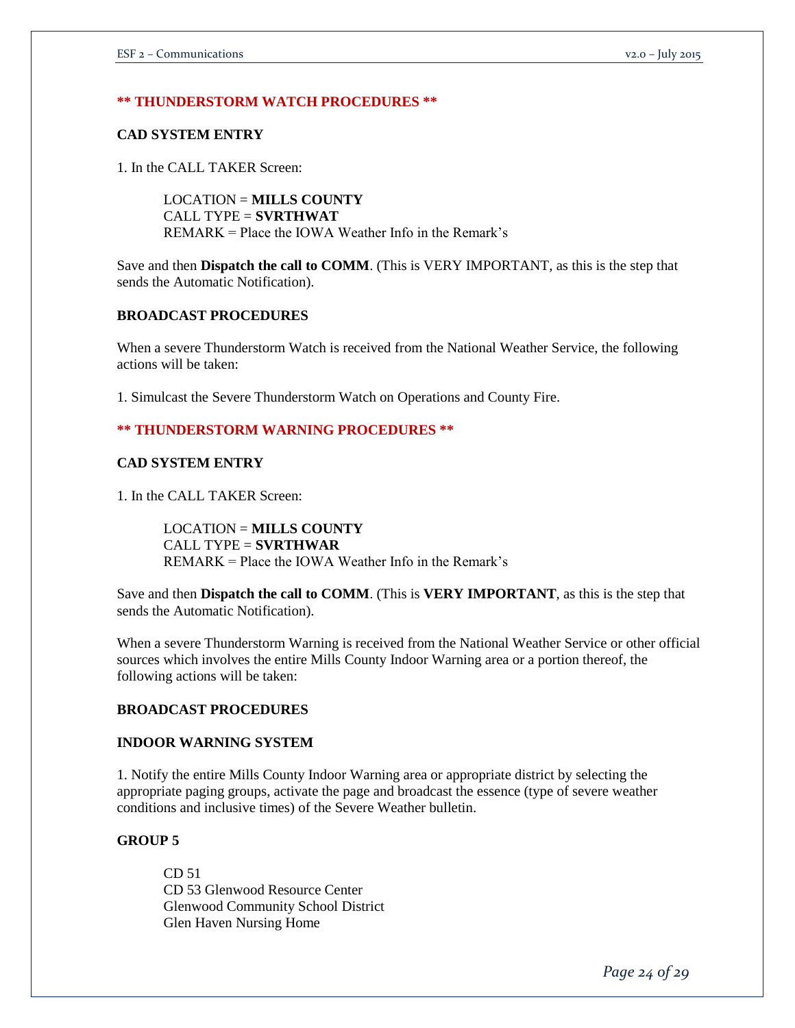### **\*\* THUNDERSTORM WATCH PROCEDURES \*\***

#### **CAD SYSTEM ENTRY**

1. In the CALL TAKER Screen:

LOCATION = **MILLS COUNTY**  CALL TYPE = **SVRTHWAT**  REMARK = Place the IOWA Weather Info in the Remark's

Save and then **Dispatch the call to COMM**. (This is VERY IMPORTANT, as this is the step that sends the Automatic Notification).

### **BROADCAST PROCEDURES**

When a severe Thunderstorm Watch is received from the National Weather Service, the following actions will be taken:

1. Simulcast the Severe Thunderstorm Watch on Operations and County Fire.

### **\*\* THUNDERSTORM WARNING PROCEDURES \*\***

### **CAD SYSTEM ENTRY**

1. In the CALL TAKER Screen:

LOCATION = **MILLS COUNTY**  CALL TYPE = **SVRTHWAR**  REMARK = Place the IOWA Weather Info in the Remark's

Save and then **Dispatch the call to COMM**. (This is **VERY IMPORTANT**, as this is the step that sends the Automatic Notification).

When a severe Thunderstorm Warning is received from the National Weather Service or other official sources which involves the entire Mills County Indoor Warning area or a portion thereof, the following actions will be taken:

#### **BROADCAST PROCEDURES**

### **INDOOR WARNING SYSTEM**

1. Notify the entire Mills County Indoor Warning area or appropriate district by selecting the appropriate paging groups, activate the page and broadcast the essence (type of severe weather conditions and inclusive times) of the Severe Weather bulletin.

#### **GROUP 5**

CD 51 CD 53 Glenwood Resource Center Glenwood Community School District Glen Haven Nursing Home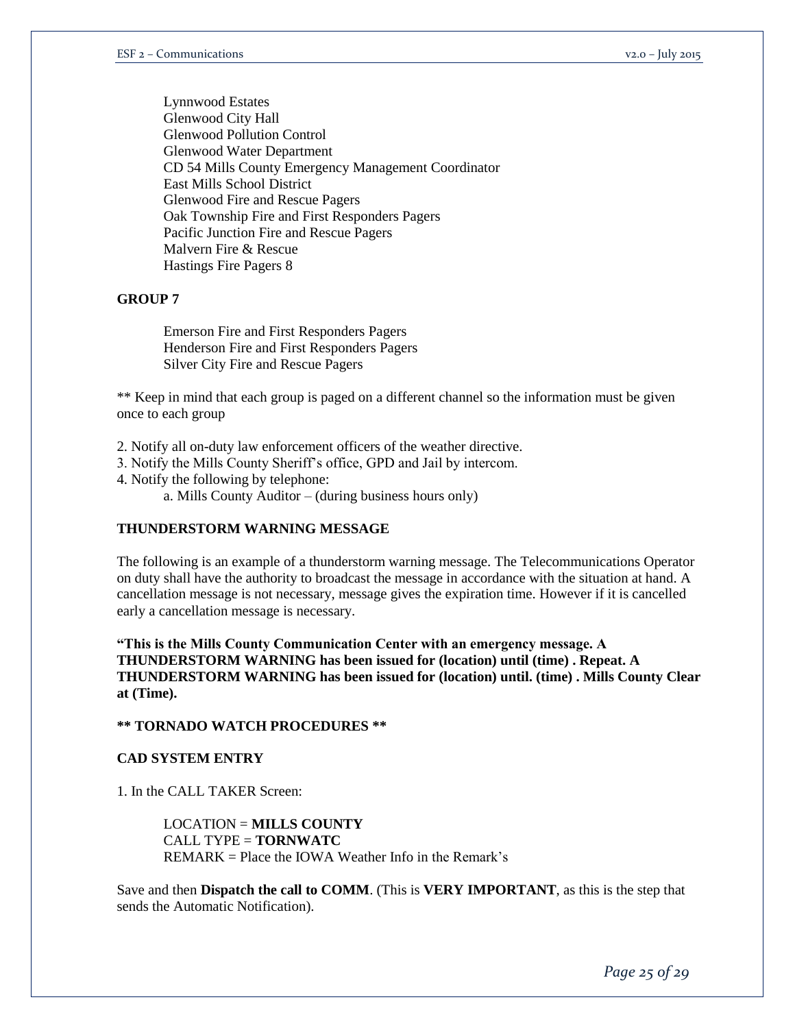Lynnwood Estates Glenwood City Hall Glenwood Pollution Control Glenwood Water Department CD 54 Mills County Emergency Management Coordinator East Mills School District Glenwood Fire and Rescue Pagers Oak Township Fire and First Responders Pagers Pacific Junction Fire and Rescue Pagers Malvern Fire & Rescue Hastings Fire Pagers 8

### **GROUP 7**

Emerson Fire and First Responders Pagers Henderson Fire and First Responders Pagers Silver City Fire and Rescue Pagers

\*\* Keep in mind that each group is paged on a different channel so the information must be given once to each group

2. Notify all on-duty law enforcement officers of the weather directive.

3. Notify the Mills County Sheriff's office, GPD and Jail by intercom.

4. Notify the following by telephone:

a. Mills County Auditor – (during business hours only)

### **THUNDERSTORM WARNING MESSAGE**

The following is an example of a thunderstorm warning message. The Telecommunications Operator on duty shall have the authority to broadcast the message in accordance with the situation at hand. A cancellation message is not necessary, message gives the expiration time. However if it is cancelled early a cancellation message is necessary.

**"This is the Mills County Communication Center with an emergency message. A THUNDERSTORM WARNING has been issued for (location) until (time) . Repeat. A THUNDERSTORM WARNING has been issued for (location) until. (time) . Mills County Clear at (Time).** 

### **\*\* TORNADO WATCH PROCEDURES \*\***

### **CAD SYSTEM ENTRY**

1. In the CALL TAKER Screen:

LOCATION = **MILLS COUNTY**  CALL TYPE = **TORNWATC**   $REMARK = Place$  the IOWA Weather Info in the Remark's

Save and then **Dispatch the call to COMM**. (This is **VERY IMPORTANT**, as this is the step that sends the Automatic Notification).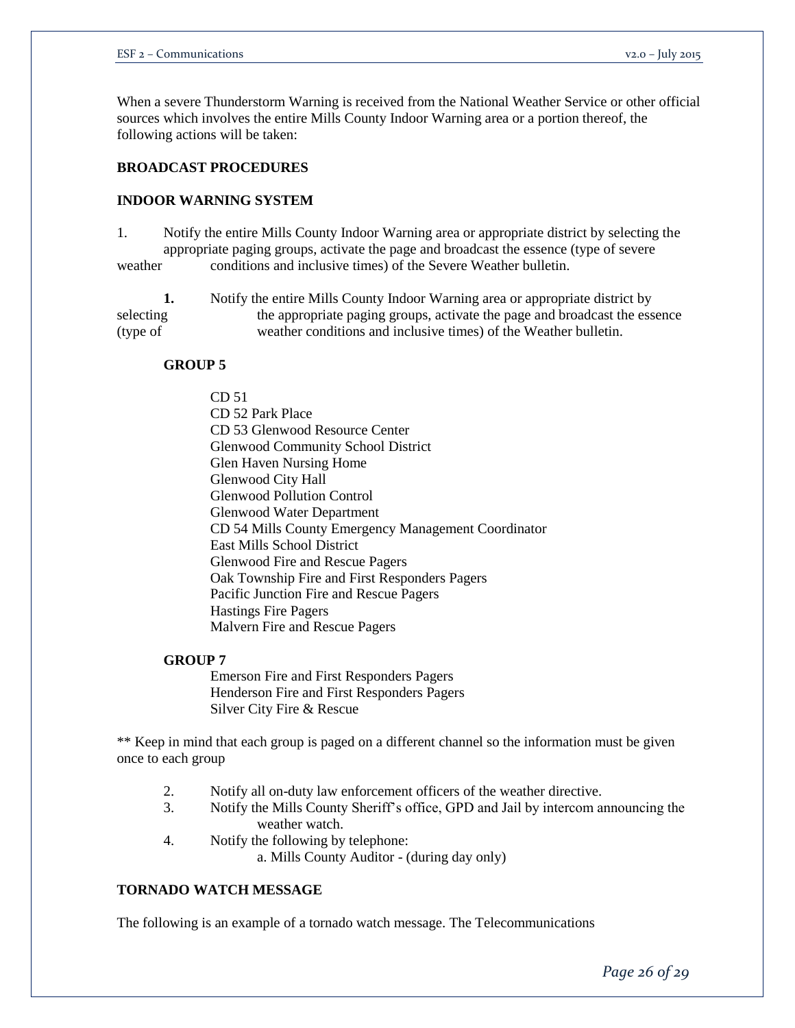When a severe Thunderstorm Warning is received from the National Weather Service or other official sources which involves the entire Mills County Indoor Warning area or a portion thereof, the following actions will be taken:

### **BROADCAST PROCEDURES**

### **INDOOR WARNING SYSTEM**

- 1. Notify the entire Mills County Indoor Warning area or appropriate district by selecting the appropriate paging groups, activate the page and broadcast the essence (type of severe weather conditions and inclusive times) of the Severe Weather bulletin.
- **1.** Notify the entire Mills County Indoor Warning area or appropriate district by selecting the appropriate paging groups, activate the page and broadcast the essence (type of weather conditions and inclusive times) of the Weather bulletin.

#### **GROUP 5**

CD 51

CD 52 Park Place CD 53 Glenwood Resource Center Glenwood Community School District Glen Haven Nursing Home Glenwood City Hall Glenwood Pollution Control Glenwood Water Department CD 54 Mills County Emergency Management Coordinator East Mills School District Glenwood Fire and Rescue Pagers Oak Township Fire and First Responders Pagers Pacific Junction Fire and Rescue Pagers Hastings Fire Pagers Malvern Fire and Rescue Pagers

#### **GROUP 7**

Emerson Fire and First Responders Pagers Henderson Fire and First Responders Pagers Silver City Fire & Rescue

\*\* Keep in mind that each group is paged on a different channel so the information must be given once to each group

- 2. Notify all on-duty law enforcement officers of the weather directive.
- 3. Notify the Mills County Sheriff's office, GPD and Jail by intercom announcing the weather watch.
- 4. Notify the following by telephone: a. Mills County Auditor - (during day only)

#### **TORNADO WATCH MESSAGE**

The following is an example of a tornado watch message. The Telecommunications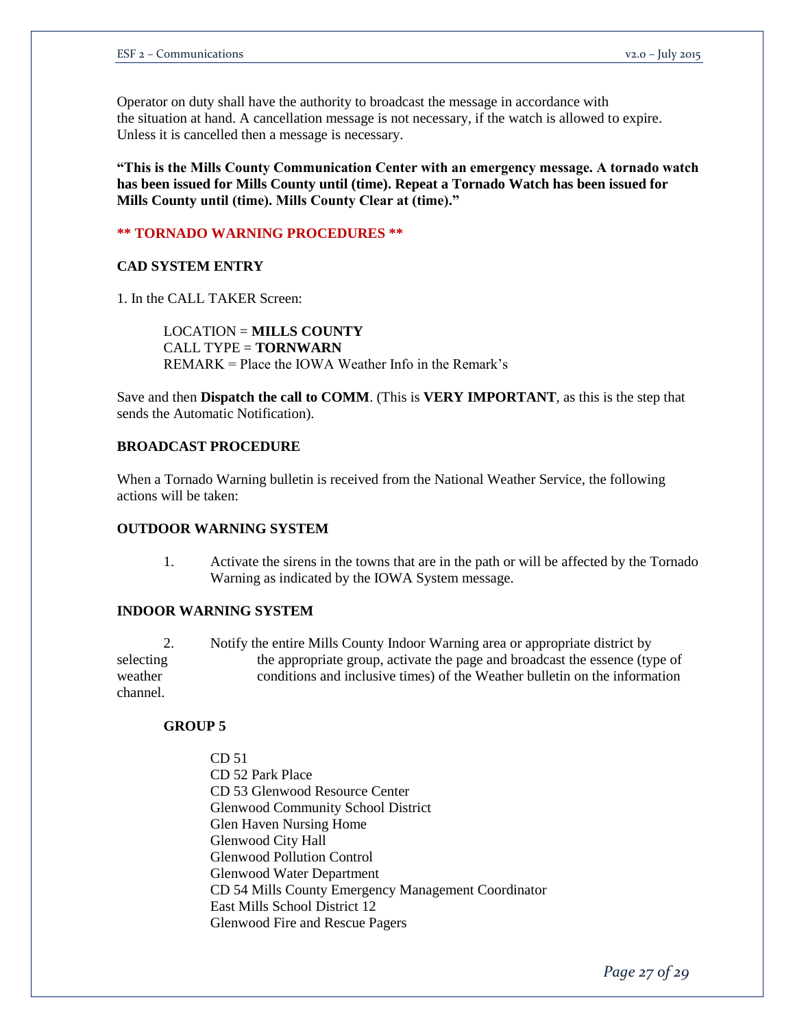Operator on duty shall have the authority to broadcast the message in accordance with the situation at hand. A cancellation message is not necessary, if the watch is allowed to expire. Unless it is cancelled then a message is necessary.

**"This is the Mills County Communication Center with an emergency message. A tornado watch has been issued for Mills County until (time). Repeat a Tornado Watch has been issued for Mills County until (time). Mills County Clear at (time)."**

### **\*\* TORNADO WARNING PROCEDURES \*\***

# **CAD SYSTEM ENTRY**

1. In the CALL TAKER Screen:

LOCATION = **MILLS COUNTY**  CALL TYPE = **TORNWARN**  REMARK = Place the IOWA Weather Info in the Remark's

Save and then **Dispatch the call to COMM**. (This is **VERY IMPORTANT**, as this is the step that sends the Automatic Notification).

#### **BROADCAST PROCEDURE**

When a Tornado Warning bulletin is received from the National Weather Service, the following actions will be taken:

#### **OUTDOOR WARNING SYSTEM**

1. Activate the sirens in the towns that are in the path or will be affected by the Tornado Warning as indicated by the IOWA System message.

#### **INDOOR WARNING SYSTEM**

2. Notify the entire Mills County Indoor Warning area or appropriate district by selecting the appropriate group, activate the page and broadcast the essence (type of weather conditions and inclusive times) of the Weather bulletin on the information channel.

### **GROUP 5**

CD 51 CD 52 Park Place CD 53 Glenwood Resource Center Glenwood Community School District Glen Haven Nursing Home Glenwood City Hall Glenwood Pollution Control Glenwood Water Department CD 54 Mills County Emergency Management Coordinator East Mills School District 12 Glenwood Fire and Rescue Pagers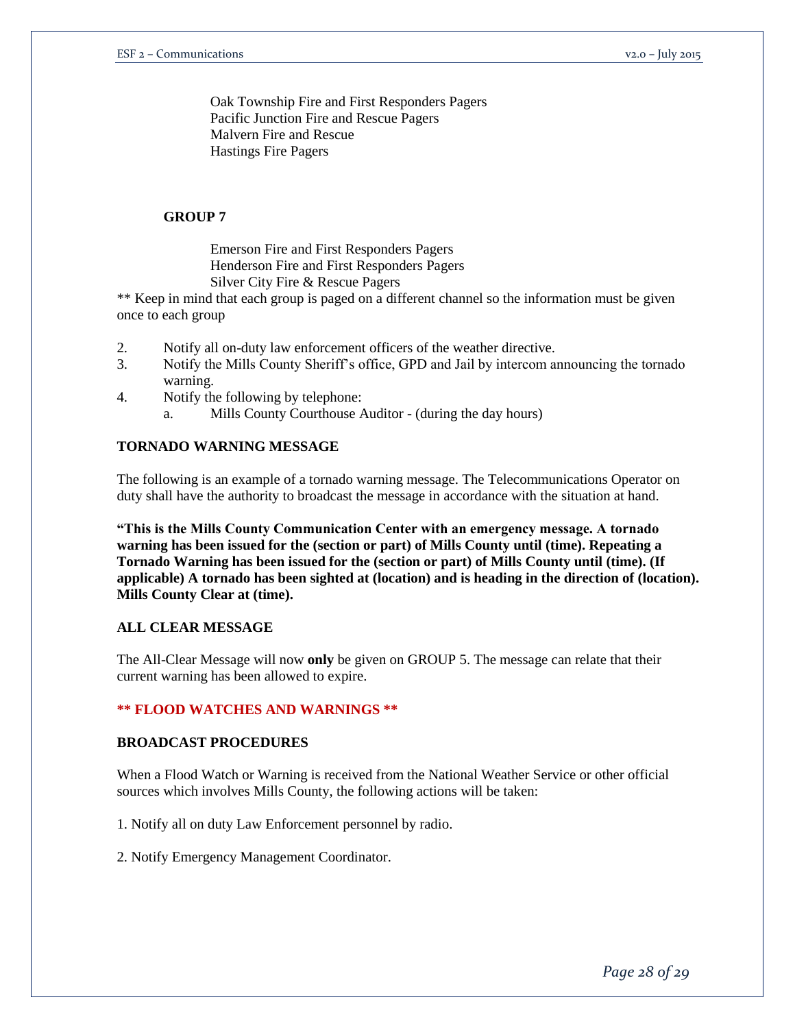Oak Township Fire and First Responders Pagers Pacific Junction Fire and Rescue Pagers Malvern Fire and Rescue Hastings Fire Pagers

# **GROUP 7**

Emerson Fire and First Responders Pagers Henderson Fire and First Responders Pagers Silver City Fire & Rescue Pagers

\*\* Keep in mind that each group is paged on a different channel so the information must be given once to each group

- 2. Notify all on-duty law enforcement officers of the weather directive.
- 3. Notify the Mills County Sheriff's office, GPD and Jail by intercom announcing the tornado warning.
- 4. Notify the following by telephone:
	- a. Mills County Courthouse Auditor (during the day hours)

### **TORNADO WARNING MESSAGE**

The following is an example of a tornado warning message. The Telecommunications Operator on duty shall have the authority to broadcast the message in accordance with the situation at hand.

**"This is the Mills County Communication Center with an emergency message. A tornado warning has been issued for the (section or part) of Mills County until (time). Repeating a Tornado Warning has been issued for the (section or part) of Mills County until (time). (If applicable) A tornado has been sighted at (location) and is heading in the direction of (location). Mills County Clear at (time).** 

### **ALL CLEAR MESSAGE**

The All-Clear Message will now **only** be given on GROUP 5. The message can relate that their current warning has been allowed to expire.

### **\*\* FLOOD WATCHES AND WARNINGS \*\***

### **BROADCAST PROCEDURES**

When a Flood Watch or Warning is received from the National Weather Service or other official sources which involves Mills County, the following actions will be taken:

1. Notify all on duty Law Enforcement personnel by radio.

2. Notify Emergency Management Coordinator.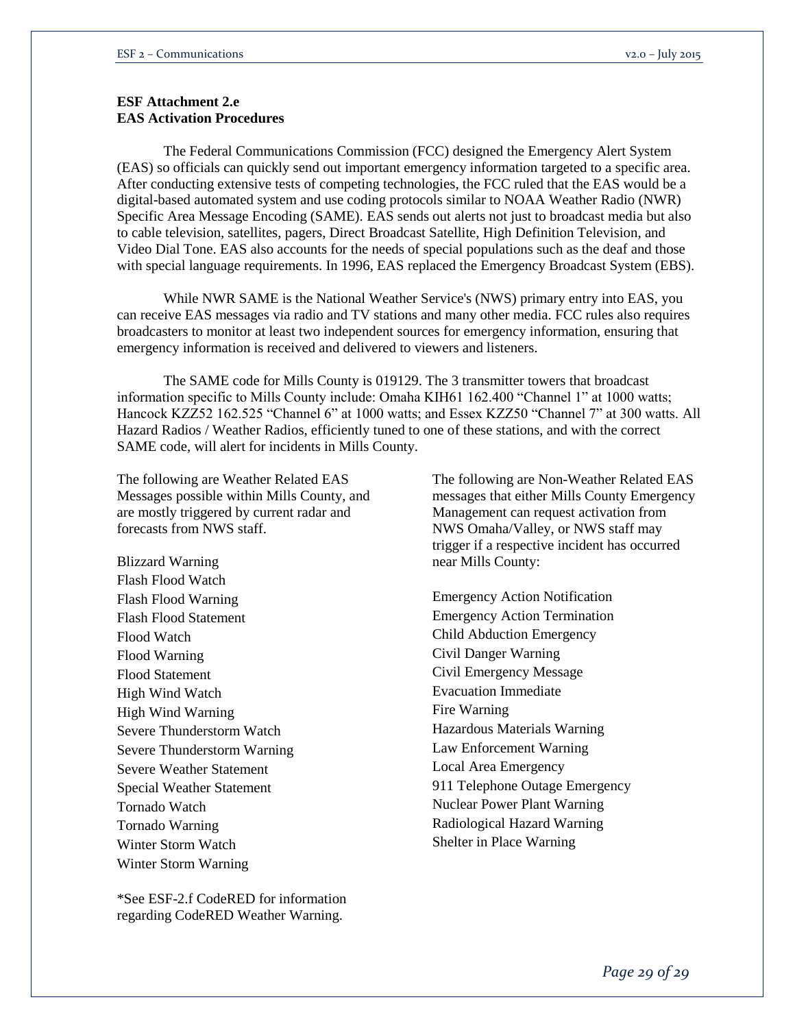# **ESF Attachment 2.e EAS Activation Procedures**

The Federal Communications Commission (FCC) designed the Emergency Alert System (EAS) so officials can quickly send out important emergency information targeted to a specific area. After conducting extensive tests of competing technologies, the FCC ruled that the EAS would be a digital-based automated system and use coding protocols similar to NOAA Weather Radio (NWR) Specific Area Message Encoding (SAME). EAS sends out alerts not just to broadcast media but also to cable television, satellites, pagers, Direct Broadcast Satellite, High Definition Television, and Video Dial Tone. EAS also accounts for the needs of special populations such as the deaf and those with special language requirements. In 1996, EAS replaced the Emergency Broadcast System (EBS).

While NWR SAME is the National Weather Service's (NWS) primary entry into EAS, you can receive EAS messages via radio and TV stations and many other media. FCC rules also requires broadcasters to monitor at least two independent sources for emergency information, ensuring that emergency information is received and delivered to viewers and listeners.

The SAME code for Mills County is 019129. The 3 transmitter towers that broadcast information specific to Mills County include: Omaha KIH61 162.400 "Channel 1" at 1000 watts; Hancock KZZ52 162.525 "Channel 6" at 1000 watts; and Essex KZZ50 "Channel 7" at 300 watts. All Hazard Radios / Weather Radios, efficiently tuned to one of these stations, and with the correct SAME code, will alert for incidents in Mills County.

The following are Weather Related EAS Messages possible within Mills County, and are mostly triggered by current radar and forecasts from NWS staff.

Blizzard Warning Flash Flood Watch Flash Flood Warning Flash Flood Statement Flood Watch Flood Warning Flood Statement High Wind Watch High Wind Warning Severe Thunderstorm Watch Severe Thunderstorm Warning Severe Weather Statement Special Weather Statement Tornado Watch Tornado Warning Winter Storm Watch Winter Storm Warning

\*See ESF-2.f CodeRED for information regarding CodeRED Weather Warning.

The following are Non-Weather Related EAS messages that either Mills County Emergency Management can request activation from NWS Omaha/Valley, or NWS staff may trigger if a respective incident has occurred near Mills County:

Emergency Action Notification Emergency Action Termination Child Abduction Emergency Civil Danger Warning Civil Emergency Message Evacuation Immediate Fire Warning Hazardous Materials Warning Law Enforcement Warning Local Area Emergency 911 Telephone Outage Emergency Nuclear Power Plant Warning Radiological Hazard Warning Shelter in Place Warning